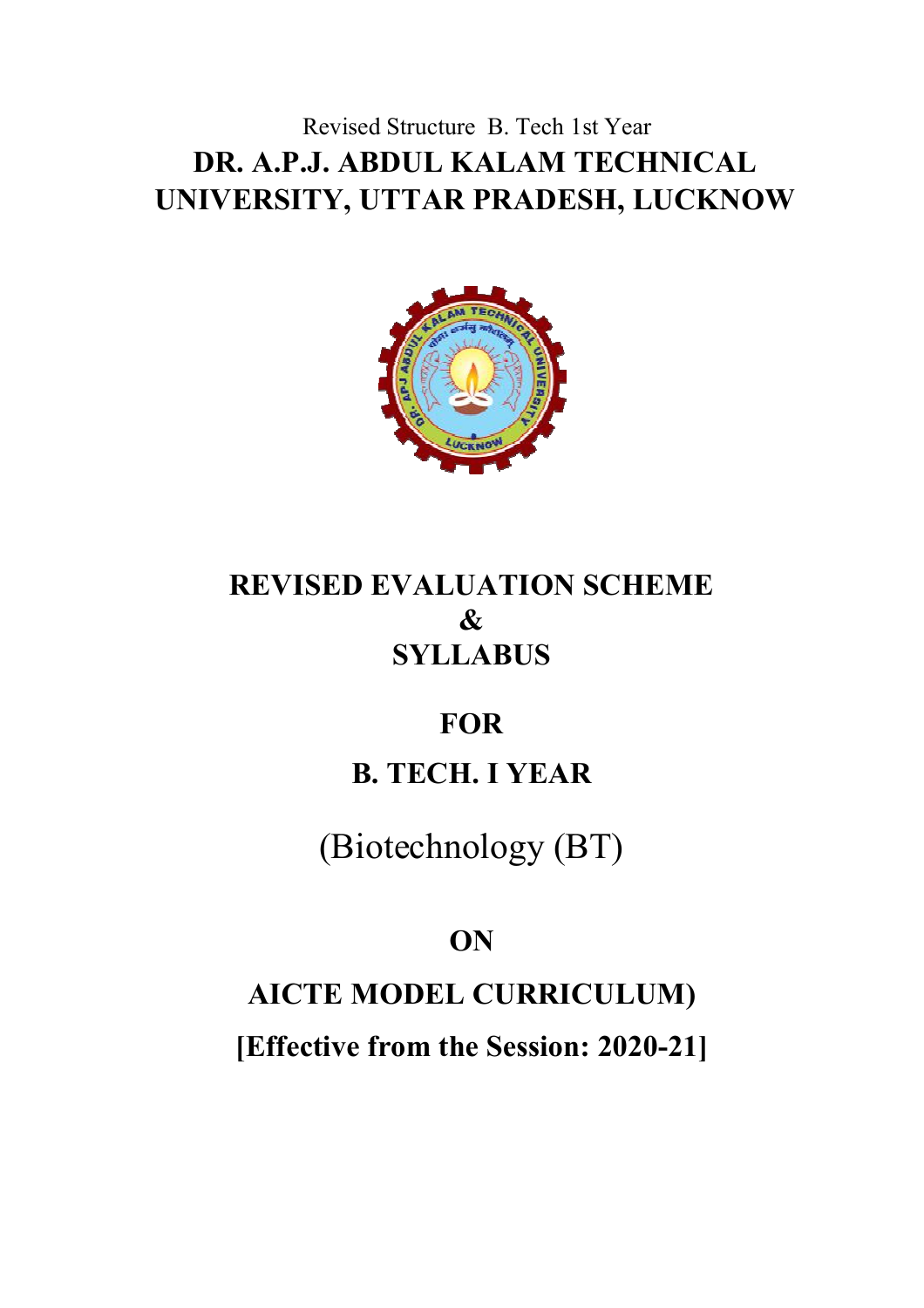# Revised Structure B. Tech 1st Year **DR. A.P.J. ABDUL KALAM TECHNICAL UNIVERSITY, UTTAR PRADESH, LUCKNOW**



# **REVISED EVALUATION SCHEME & SYLLABUS**

# **FOR**

# **B. TECH. I YEAR**

# (Biotechnology (BT)

# **ON**

# **AICTE MODEL CURRICULUM)**

**[Effective from the Session: 2020-21]**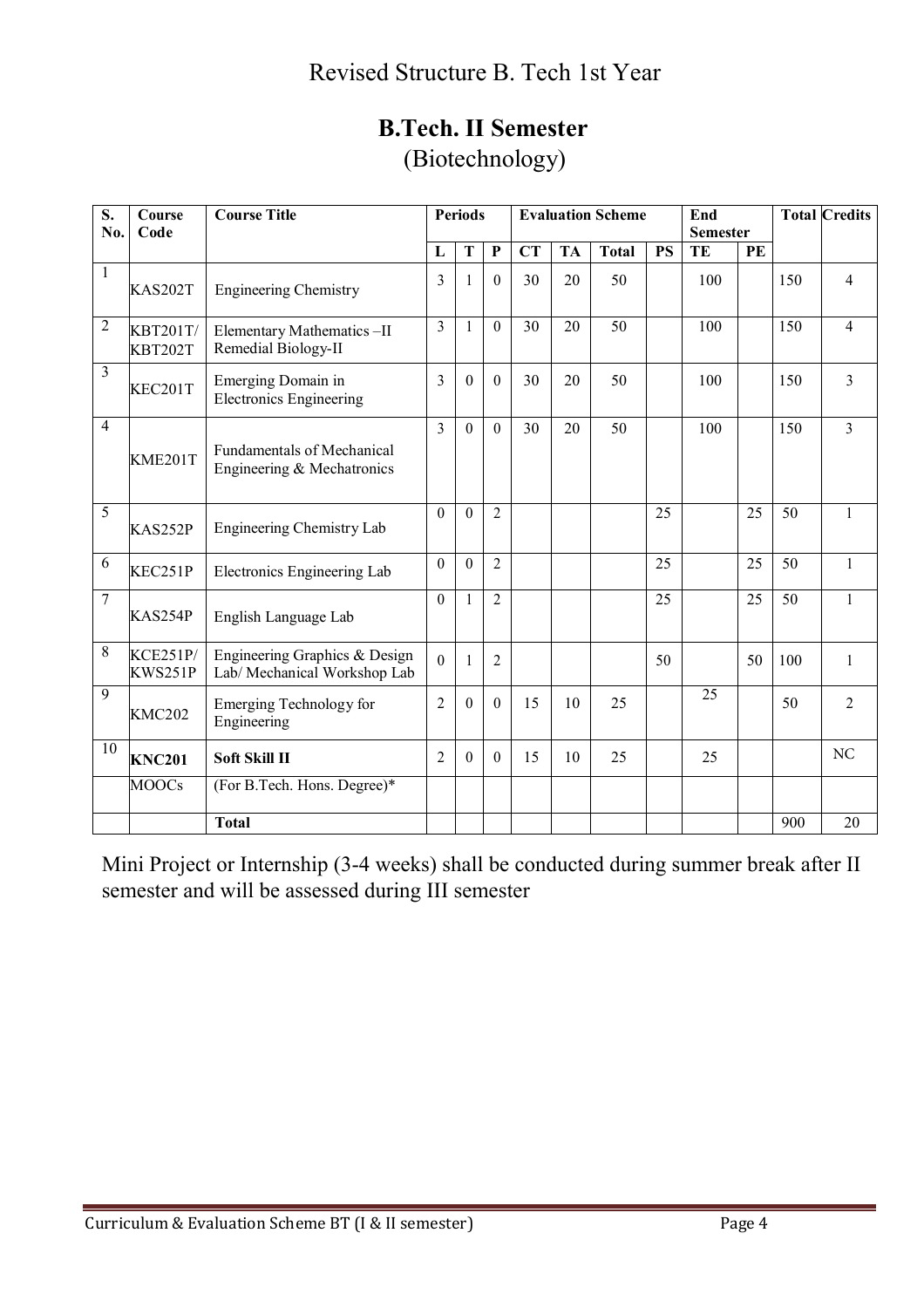| <b>B.Tech. II Semester</b> |
|----------------------------|
| (Biotechnology)            |

| S.             | Course                            | <b>Course Title</b>                                             |                | <b>Periods</b><br><b>Evaluation Scheme</b><br>End<br><b>Semester</b> |                  |           |           |              |           |     |    | <b>Total Credits</b> |                |
|----------------|-----------------------------------|-----------------------------------------------------------------|----------------|----------------------------------------------------------------------|------------------|-----------|-----------|--------------|-----------|-----|----|----------------------|----------------|
| No.            | Code                              |                                                                 | L              | T                                                                    | $\mathbf{P}$     | <b>CT</b> | <b>TA</b> | <b>Total</b> | <b>PS</b> | TE  | PE |                      |                |
| $\mathbf{1}$   |                                   |                                                                 |                |                                                                      |                  |           |           |              |           |     |    |                      |                |
|                | <b>KAS202T</b>                    | <b>Engineering Chemistry</b>                                    | 3              |                                                                      | $\theta$         | 30        | 20        | 50           |           | 100 |    | 150                  | 4              |
| $\overline{c}$ | <b>KBT201T/</b><br><b>KBT202T</b> | Elementary Mathematics-II<br>Remedial Biology-II                | 3              | $\mathbf{1}$                                                         | $\mathbf{0}$     | 30        | 20        | 50           |           | 100 |    | 150                  | $\overline{4}$ |
| 3              | KEC201T                           | Emerging Domain in<br><b>Electronics Engineering</b>            | 3              | $\theta$                                                             | $\theta$         | 30        | 20        | 50           |           | 100 |    | 150                  | 3              |
| $\overline{4}$ | KME201T                           | <b>Fundamentals of Mechanical</b><br>Engineering & Mechatronics | $\overline{3}$ | $\mathbf{0}$                                                         | $\theta$         | 30        | 20        | 50           |           | 100 |    | 150                  | 3              |
| 5              | KAS252P                           | Engineering Chemistry Lab                                       | $\theta$       | $\theta$                                                             | $\overline{2}$   |           |           |              | 25        |     | 25 | 50                   | $\mathbf{1}$   |
| 6              | KEC251P                           | Electronics Engineering Lab                                     | $\Omega$       | $\Omega$                                                             | $\overline{2}$   |           |           |              | 25        |     | 25 | 50                   | $\mathbf{1}$   |
| $\overline{7}$ | KAS254P                           | English Language Lab                                            | $\overline{0}$ | 1                                                                    | $\overline{2}$   |           |           |              | 25        |     | 25 | 50                   | $\mathbf{1}$   |
| 8              | <b>KCE251P/</b><br>KWS251P        | Engineering Graphics & Design<br>Lab/Mechanical Workshop Lab    | $\Omega$       |                                                                      | $\overline{2}$   |           |           |              | 50        |     | 50 | 100                  | $\mathbf{1}$   |
| 9              | <b>KMC202</b>                     | <b>Emerging Technology for</b><br>Engineering                   | $\overline{2}$ | $\theta$                                                             | $\boldsymbol{0}$ | 15        | 10        | 25           |           | 25  |    | 50                   | $\overline{2}$ |
| 10             | <b>KNC201</b>                     | <b>Soft Skill II</b>                                            | 2              | $\theta$                                                             | $\theta$         | 15        | 10        | 25           |           | 25  |    |                      | NC             |
|                | MO <sub>OS</sub>                  | (For B.Tech. Hons. Degree)*                                     |                |                                                                      |                  |           |           |              |           |     |    |                      |                |
|                |                                   | <b>Total</b>                                                    |                |                                                                      |                  |           |           |              |           |     |    | 900                  | 20             |

Mini Project or Internship (3-4 weeks) shall be conducted during summer break after II semester and will be assessed during III semester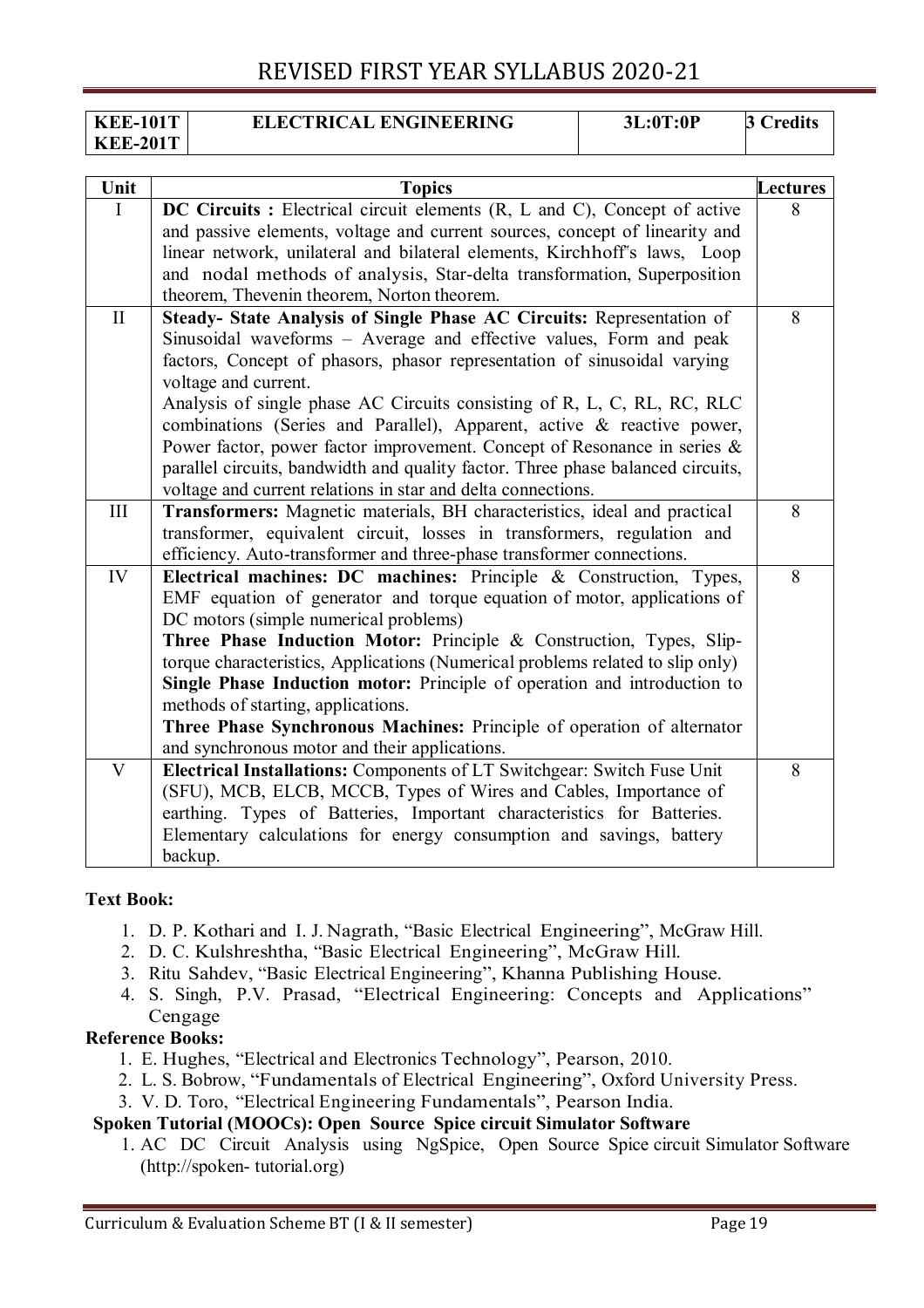| <b>KEE-101T</b> | <b>ELECTRICAL ENGINEERING</b> | 3L:0T:0P | redits! |
|-----------------|-------------------------------|----------|---------|
| <b>KEE-201T</b> |                               |          |         |

| Unit                    | <b>Topics</b>                                                                                                                                              | Lectures |
|-------------------------|------------------------------------------------------------------------------------------------------------------------------------------------------------|----------|
| I                       | DC Circuits : Electrical circuit elements (R, L and C), Concept of active                                                                                  | 8        |
|                         | and passive elements, voltage and current sources, concept of linearity and                                                                                |          |
|                         | linear network, unilateral and bilateral elements, Kirchhoff's laws, Loop                                                                                  |          |
|                         | and nodal methods of analysis, Star-delta transformation, Superposition                                                                                    |          |
|                         | theorem, Thevenin theorem, Norton theorem.                                                                                                                 |          |
| $\mathbf{I}$            | Steady- State Analysis of Single Phase AC Circuits: Representation of                                                                                      | 8        |
|                         | Sinusoidal waveforms - Average and effective values, Form and peak                                                                                         |          |
|                         | factors, Concept of phasors, phasor representation of sinusoidal varying<br>voltage and current.                                                           |          |
|                         | Analysis of single phase AC Circuits consisting of R, L, C, RL, RC, RLC                                                                                    |          |
|                         | combinations (Series and Parallel), Apparent, active & reactive power,                                                                                     |          |
|                         | Power factor, power factor improvement. Concept of Resonance in series $\&$                                                                                |          |
|                         | parallel circuits, bandwidth and quality factor. Three phase balanced circuits,                                                                            |          |
|                         | voltage and current relations in star and delta connections.                                                                                               |          |
| III                     | Transformers: Magnetic materials, BH characteristics, ideal and practical                                                                                  | 8        |
|                         | transformer, equivalent circuit, losses in transformers, regulation and                                                                                    |          |
|                         | efficiency. Auto-transformer and three-phase transformer connections.                                                                                      |          |
| IV                      | Electrical machines: DC machines: Principle & Construction, Types,                                                                                         | 8        |
|                         | EMF equation of generator and torque equation of motor, applications of                                                                                    |          |
|                         | DC motors (simple numerical problems)                                                                                                                      |          |
|                         | Three Phase Induction Motor: Principle & Construction, Types, Slip-                                                                                        |          |
|                         | torque characteristics, Applications (Numerical problems related to slip only)<br>Single Phase Induction motor: Principle of operation and introduction to |          |
|                         | methods of starting, applications.                                                                                                                         |          |
|                         | Three Phase Synchronous Machines: Principle of operation of alternator                                                                                     |          |
|                         | and synchronous motor and their applications.                                                                                                              |          |
| $\overline{\mathsf{V}}$ | Electrical Installations: Components of LT Switchgear: Switch Fuse Unit                                                                                    | 8        |
|                         | (SFU), MCB, ELCB, MCCB, Types of Wires and Cables, Importance of                                                                                           |          |
|                         | earthing. Types of Batteries, Important characteristics for Batteries.                                                                                     |          |
|                         | Elementary calculations for energy consumption and savings, battery                                                                                        |          |
|                         | backup.                                                                                                                                                    |          |

#### **Text Book:**

- 1. D. P. Kothari and I. J. Nagrath, "Basic Electrical Engineering", McGraw Hill.
- 2. D. C. Kulshreshtha, "Basic Electrical Engineering", McGraw Hill.
- 3. Ritu Sahdev, "Basic Electrical Engineering", Khanna Publishing House.
- 4. S. Singh, P.V. Prasad, "Electrical Engineering: Concepts and Applications" Cengage

#### **Reference Books:**

- 1. E. Hughes, "Electrical and Electronics Technology", Pearson, 2010.
- 2. L. S. Bobrow, "Fundamentals of Electrical Engineering", Oxford University Press.
- 3. V. D. Toro, "Electrical Engineering Fundamentals", Pearson India.

#### **Spoken Tutorial (MOOCs): Open Source Spice circuit Simulator Software**

1. AC DC Circuit Analysis using NgSpice, Open Source Spice circuit Simulator Software (http://spoken- tutorial.org)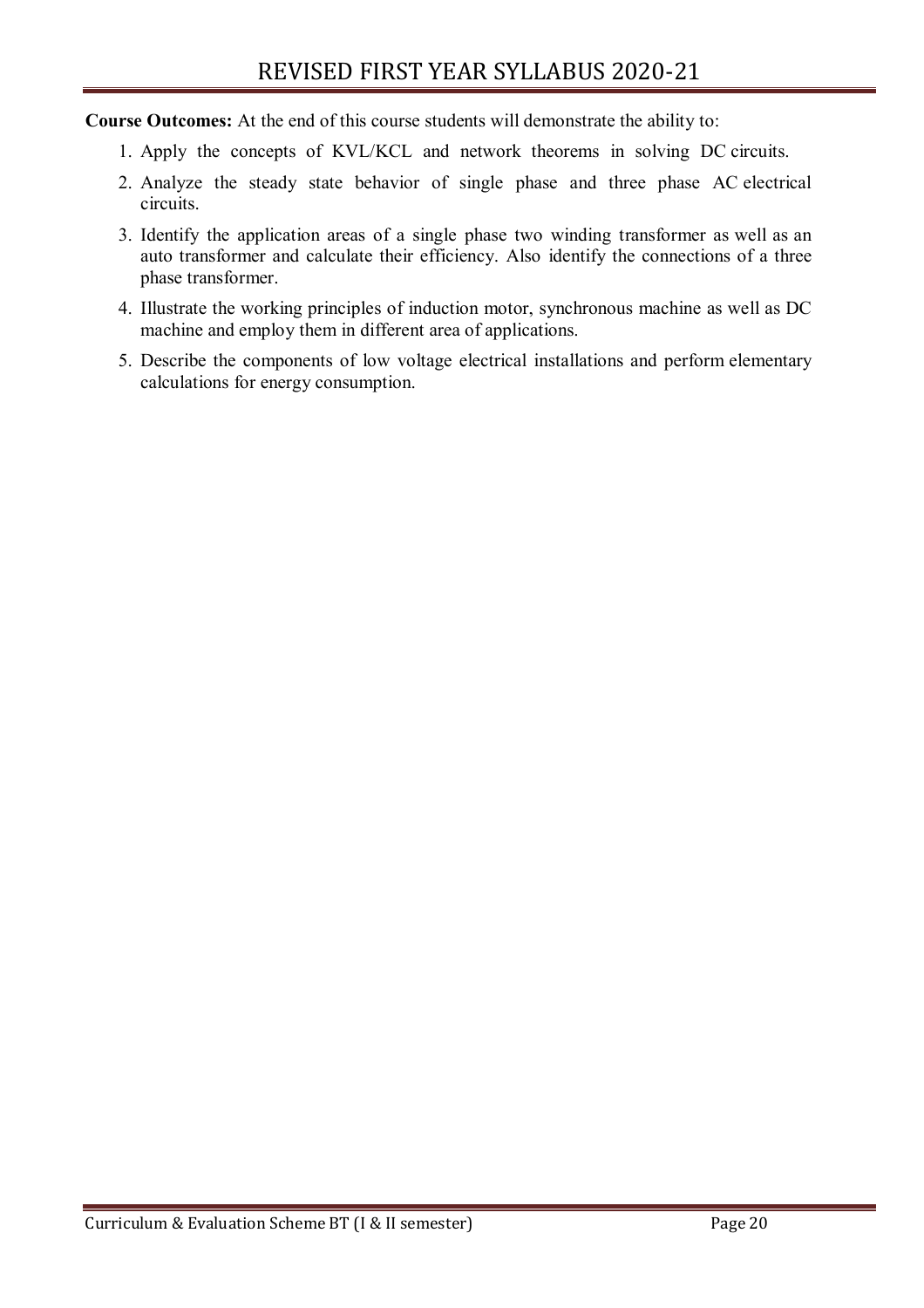**Course Outcomes:** At the end of this course students will demonstrate the ability to:

- 1. Apply the concepts of KVL/KCL and network theorems in solving DC circuits.
- 2. Analyze the steady state behavior of single phase and three phase AC electrical circuits.
- 3. Identify the application areas of a single phase two winding transformer as well as an auto transformer and calculate their efficiency. Also identify the connections of a three phase transformer.
- 4. Illustrate the working principles of induction motor, synchronous machine as well as DC machine and employ them in different area of applications.
- 5. Describe the components of low voltage electrical installations and perform elementary calculations for energy consumption.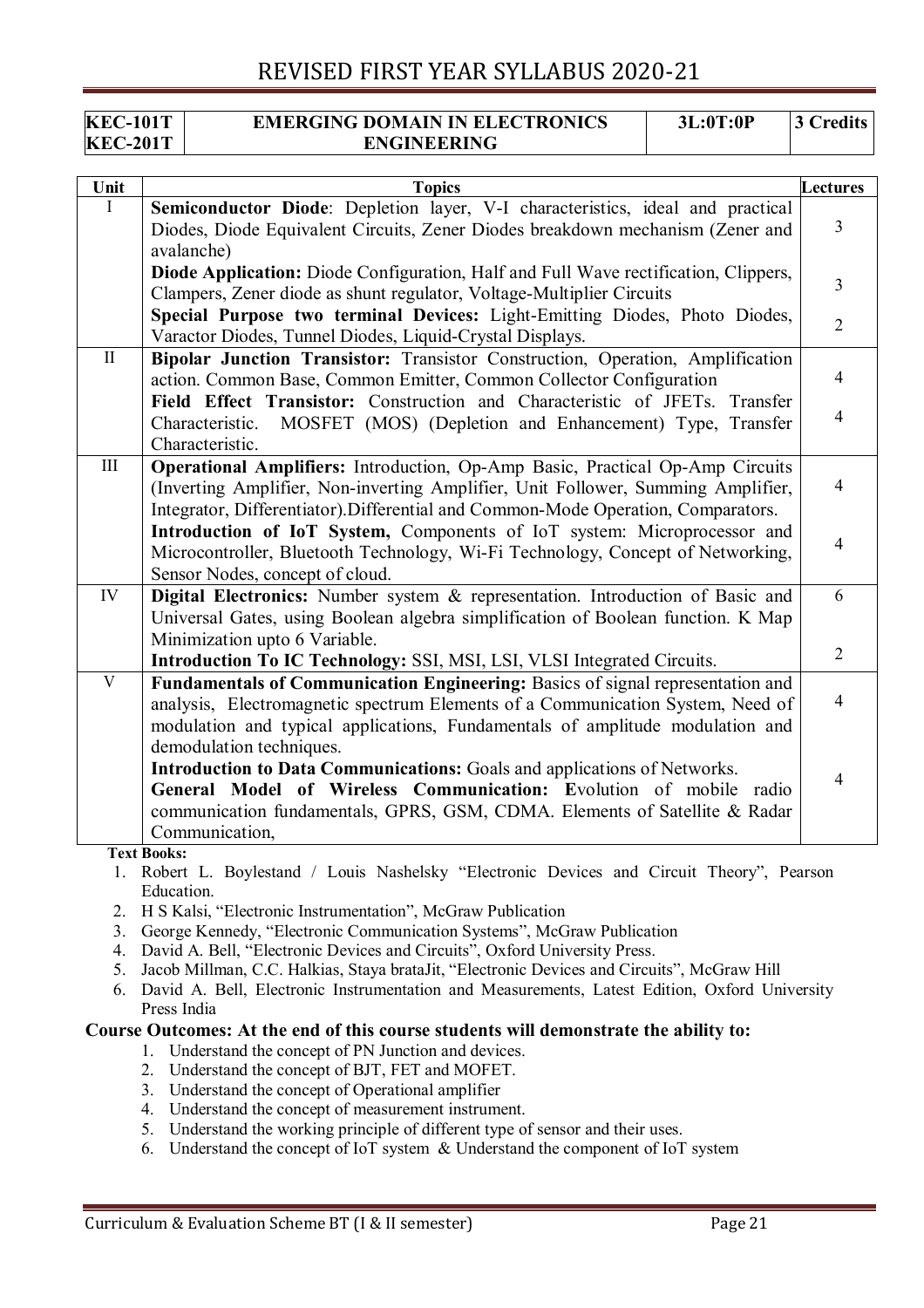#### **KEC-101T KEC-201T EMERGING DOMAIN IN ELECTRONICS ENGINEERING 3L:0T:0P 3 Credits**

| Unit         | <b>Topics</b>                                                                                                                                                                                                                                                 | <b>Lectures</b> |
|--------------|---------------------------------------------------------------------------------------------------------------------------------------------------------------------------------------------------------------------------------------------------------------|-----------------|
| L            | Semiconductor Diode: Depletion layer, V-I characteristics, ideal and practical                                                                                                                                                                                |                 |
|              | Diodes, Diode Equivalent Circuits, Zener Diodes breakdown mechanism (Zener and<br>avalanche)                                                                                                                                                                  | 3               |
|              | <b>Diode Application:</b> Diode Configuration, Half and Full Wave rectification, Clippers,                                                                                                                                                                    |                 |
|              | Clampers, Zener diode as shunt regulator, Voltage-Multiplier Circuits                                                                                                                                                                                         | $\overline{3}$  |
|              | Special Purpose two terminal Devices: Light-Emitting Diodes, Photo Diodes,                                                                                                                                                                                    | $\overline{2}$  |
|              | Varactor Diodes, Tunnel Diodes, Liquid-Crystal Displays.                                                                                                                                                                                                      |                 |
| $\mathbf{I}$ | Bipolar Junction Transistor: Transistor Construction, Operation, Amplification<br>action. Common Base, Common Emitter, Common Collector Configuration                                                                                                         | $\overline{4}$  |
|              | Field Effect Transistor: Construction and Characteristic of JFETs. Transfer<br>MOSFET (MOS) (Depletion and Enhancement) Type, Transfer<br>Characteristic.<br>Characteristic.                                                                                  | $\overline{4}$  |
| III          | <b>Operational Amplifiers:</b> Introduction, Op-Amp Basic, Practical Op-Amp Circuits<br>(Inverting Amplifier, Non-inverting Amplifier, Unit Follower, Summing Amplifier,<br>Integrator, Differentiator). Differential and Common-Mode Operation, Comparators. | $\overline{4}$  |
|              | Introduction of IoT System, Components of IoT system: Microprocessor and<br>Microcontroller, Bluetooth Technology, Wi-Fi Technology, Concept of Networking,<br>Sensor Nodes, concept of cloud.                                                                | $\overline{4}$  |
| IV           | Digital Electronics: Number system & representation. Introduction of Basic and                                                                                                                                                                                | 6               |
|              | Universal Gates, using Boolean algebra simplification of Boolean function. K Map                                                                                                                                                                              |                 |
|              | Minimization upto 6 Variable.                                                                                                                                                                                                                                 | $\overline{2}$  |
| V            | Introduction To IC Technology: SSI, MSI, LSI, VLSI Integrated Circuits.                                                                                                                                                                                       |                 |
|              | Fundamentals of Communication Engineering: Basics of signal representation and<br>analysis, Electromagnetic spectrum Elements of a Communication System, Need of<br>modulation and typical applications, Fundamentals of amplitude modulation and             | $\overline{4}$  |
|              | demodulation techniques.                                                                                                                                                                                                                                      |                 |
|              | Introduction to Data Communications: Goals and applications of Networks.                                                                                                                                                                                      | $\overline{4}$  |
|              | General Model of Wireless Communication: Evolution of mobile radio                                                                                                                                                                                            |                 |
|              | communication fundamentals, GPRS, GSM, CDMA. Elements of Satellite & Radar<br>Communication,                                                                                                                                                                  |                 |
|              | <b>Text Books:</b>                                                                                                                                                                                                                                            |                 |

1. Robert L. Boylestand / Louis Nashelsky "Electronic Devices and Circuit Theory", Pearson Education.

- 2. H S Kalsi, "Electronic Instrumentation", McGraw Publication
- 3. George Kennedy, "Electronic Communication Systems", McGraw Publication
- 4. David A. Bell, "Electronic Devices and Circuits", Oxford University Press.
- 5. Jacob Millman, C.C. Halkias, Staya brataJit, "Electronic Devices and Circuits", McGraw Hill
- 6. David A. Bell, Electronic Instrumentation and Measurements, Latest Edition, Oxford University Press India

#### **Course Outcomes: At the end of this course students will demonstrate the ability to:**

- 1. Understand the concept of PN Junction and devices.
- 2. Understand the concept of BJT, FET and MOFET.
- 3. Understand the concept of Operational amplifier
- 4. Understand the concept of measurement instrument.
- 5. Understand the working principle of different type of sensor and their uses.
- 6. Understand the concept of IoT system & Understand the component of IoT system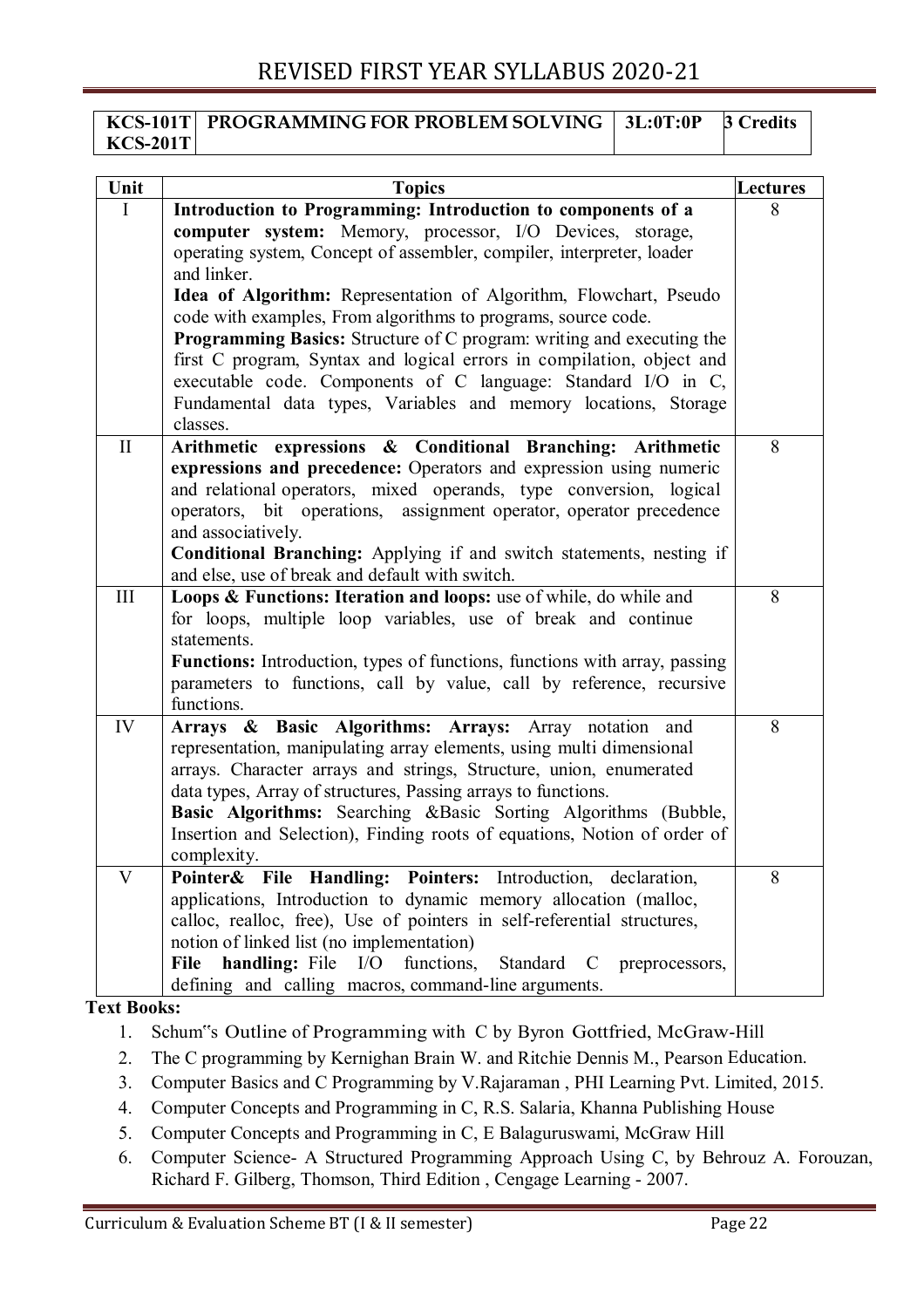#### **KCS-101T KCS-201T PROGRAMMING FOR PROBLEM SOLVING 3L:0T:0P 3 Credits**

| Unit         | <b>Topics</b>                                                                                                                                         | Lectures |
|--------------|-------------------------------------------------------------------------------------------------------------------------------------------------------|----------|
| $\mathbf I$  | Introduction to Programming: Introduction to components of a                                                                                          | 8        |
|              | computer system: Memory, processor, I/O Devices, storage,                                                                                             |          |
|              | operating system, Concept of assembler, compiler, interpreter, loader                                                                                 |          |
|              | and linker.                                                                                                                                           |          |
|              | Idea of Algorithm: Representation of Algorithm, Flowchart, Pseudo                                                                                     |          |
|              | code with examples, From algorithms to programs, source code.                                                                                         |          |
|              | <b>Programming Basics:</b> Structure of C program: writing and executing the<br>first C program, Syntax and logical errors in compilation, object and |          |
|              | executable code. Components of C language: Standard I/O in C,                                                                                         |          |
|              | Fundamental data types, Variables and memory locations, Storage                                                                                       |          |
|              | classes.                                                                                                                                              |          |
| $\mathbf{I}$ | Arithmetic expressions & Conditional Branching: Arithmetic                                                                                            | 8        |
|              | expressions and precedence: Operators and expression using numeric                                                                                    |          |
|              | and relational operators, mixed operands, type conversion, logical                                                                                    |          |
|              | operators, bit operations, assignment operator, operator precedence                                                                                   |          |
|              | and associatively.                                                                                                                                    |          |
|              | <b>Conditional Branching:</b> Applying if and switch statements, nesting if                                                                           |          |
|              | and else, use of break and default with switch.                                                                                                       |          |
| III          | Loops & Functions: Iteration and loops: use of while, do while and                                                                                    | 8        |
|              | for loops, multiple loop variables, use of break and continue                                                                                         |          |
|              | statements.                                                                                                                                           |          |
|              | <b>Functions:</b> Introduction, types of functions, functions with array, passing                                                                     |          |
|              | parameters to functions, call by value, call by reference, recursive<br>functions.                                                                    |          |
| IV           | Arrays & Basic Algorithms: Arrays: Array notation<br>and                                                                                              | 8        |
|              | representation, manipulating array elements, using multi dimensional                                                                                  |          |
|              | arrays. Character arrays and strings, Structure, union, enumerated                                                                                    |          |
|              | data types, Array of structures, Passing arrays to functions.                                                                                         |          |
|              | Basic Algorithms: Searching &Basic Sorting Algorithms (Bubble,                                                                                        |          |
|              | Insertion and Selection), Finding roots of equations, Notion of order of                                                                              |          |
|              | complexity.                                                                                                                                           |          |
| V            | Pointer& File Handling: Pointers: Introduction, declaration,                                                                                          | 8        |
|              | applications, Introduction to dynamic memory allocation (malloc,                                                                                      |          |
|              | calloc, realloc, free), Use of pointers in self-referential structures,                                                                               |          |
|              | notion of linked list (no implementation)                                                                                                             |          |
|              | functions, Standard C<br>File<br><b>handling:</b> File I/O<br>preprocessors,                                                                          |          |
| `ext Rooks.  | defining and calling macros, command-line arguments.                                                                                                  |          |

#### **Text Books:**

- 1. Schum"s Outline of Programming with C by Byron Gottfried, McGraw-Hill
- 2. The C programming by Kernighan Brain W. and Ritchie Dennis M., Pearson Education.
- 3. Computer Basics and C Programming by V.Rajaraman , PHI Learning Pvt. Limited, 2015.
- 4. Computer Concepts and Programming in C, R.S. Salaria, Khanna Publishing House
- 5. Computer Concepts and Programming in C, E Balaguruswami, McGraw Hill
- 6. Computer Science- A Structured Programming Approach Using C, by Behrouz A. Forouzan, Richard F. Gilberg, Thomson, Third Edition , Cengage Learning - 2007.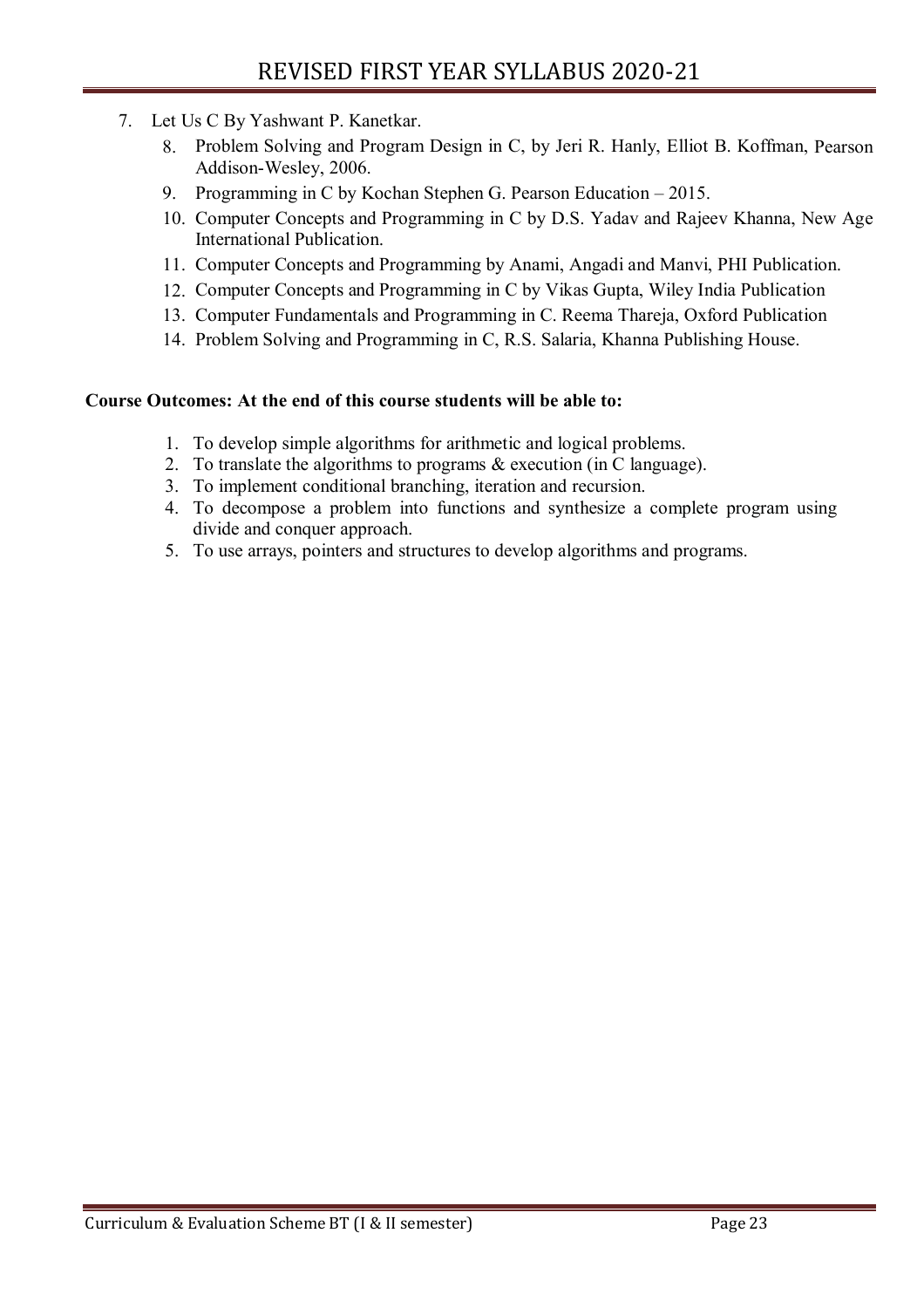- 7. Let Us C By Yashwant P. Kanetkar.
	- 8. Problem Solving and Program Design in C, by Jeri R. Hanly, Elliot B. Koffman, Pearson Addison-Wesley, 2006.
	- 9. Programming in C by Kochan Stephen G. Pearson Education 2015.
	- 10. Computer Concepts and Programming in C by D.S. Yadav and Rajeev Khanna, New Age International Publication.
	- 11. Computer Concepts and Programming by Anami, Angadi and Manvi, PHI Publication.
	- 12. Computer Concepts and Programming in C by Vikas Gupta, Wiley India Publication
	- 13. Computer Fundamentals and Programming in C. Reema Thareja, Oxford Publication
	- 14. Problem Solving and Programming in C, R.S. Salaria, Khanna Publishing House.

#### **Course Outcomes: At the end of this course students will be able to:**

- 1. To develop simple algorithms for arithmetic and logical problems.
- 2. To translate the algorithms to programs & execution (in C language).
- 3. To implement conditional branching, iteration and recursion.
- 4. To decompose a problem into functions and synthesize a complete program using divide and conquer approach.
- 5. To use arrays, pointers and structures to develop algorithms and programs.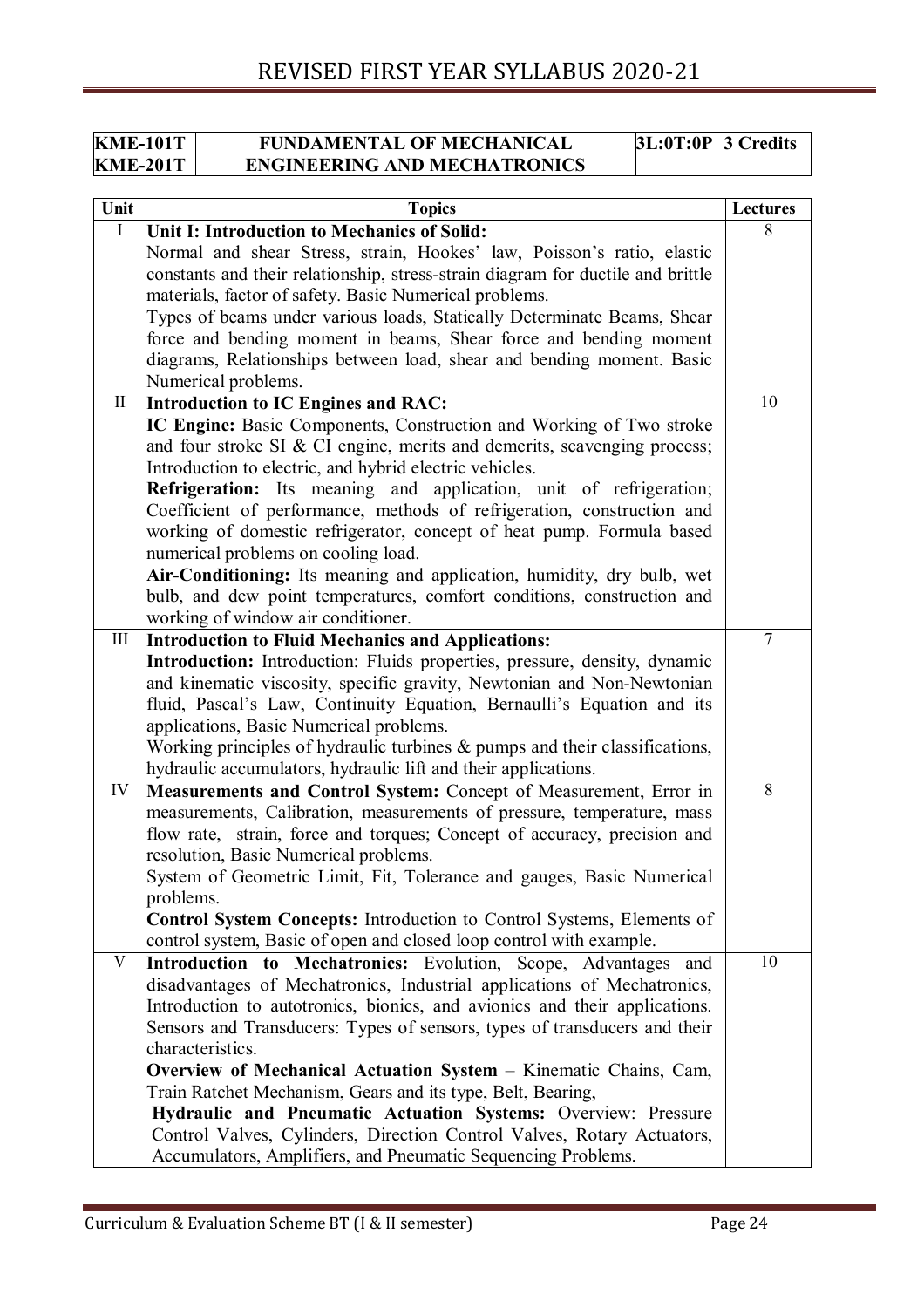| <b>KME-101T</b> | <b>FUNDAMENTAL OF MECHANICAL</b>    | $3L:0T:0P$ 3 Credits |  |
|-----------------|-------------------------------------|----------------------|--|
| <b>KME-201T</b> | <b>ENGINEERING AND MECHATRONICS</b> |                      |  |

| Unit         | <b>Topics</b>                                                                                                             | <b>Lectures</b> |
|--------------|---------------------------------------------------------------------------------------------------------------------------|-----------------|
| I            | Unit I: Introduction to Mechanics of Solid:                                                                               | 8               |
|              | Normal and shear Stress, strain, Hookes' law, Poisson's ratio, elastic                                                    |                 |
|              | constants and their relationship, stress-strain diagram for ductile and brittle                                           |                 |
|              | materials, factor of safety. Basic Numerical problems.                                                                    |                 |
|              | Types of beams under various loads, Statically Determinate Beams, Shear                                                   |                 |
|              | force and bending moment in beams, Shear force and bending moment                                                         |                 |
|              | diagrams, Relationships between load, shear and bending moment. Basic                                                     |                 |
|              | Numerical problems.                                                                                                       |                 |
| $\mathbf{I}$ | Introduction to IC Engines and RAC:                                                                                       | 10              |
|              | IC Engine: Basic Components, Construction and Working of Two stroke                                                       |                 |
|              | and four stroke SI & CI engine, merits and demerits, scavenging process;                                                  |                 |
|              | Introduction to electric, and hybrid electric vehicles.                                                                   |                 |
|              | <b>Refrigeration:</b> Its meaning and application, unit of refrigeration;                                                 |                 |
|              | Coefficient of performance, methods of refrigeration, construction and                                                    |                 |
|              | working of domestic refrigerator, concept of heat pump. Formula based                                                     |                 |
|              | numerical problems on cooling load.                                                                                       |                 |
|              | Air-Conditioning: Its meaning and application, humidity, dry bulb, wet                                                    |                 |
|              | bulb, and dew point temperatures, comfort conditions, construction and                                                    |                 |
|              | working of window air conditioner.                                                                                        |                 |
| III          | <b>Introduction to Fluid Mechanics and Applications:</b>                                                                  | 7               |
|              | Introduction: Introduction: Fluids properties, pressure, density, dynamic                                                 |                 |
|              | and kinematic viscosity, specific gravity, Newtonian and Non-Newtonian                                                    |                 |
|              | fluid, Pascal's Law, Continuity Equation, Bernaulli's Equation and its                                                    |                 |
|              | applications, Basic Numerical problems.<br>Working principles of hydraulic turbines $\&$ pumps and their classifications, |                 |
|              | hydraulic accumulators, hydraulic lift and their applications.                                                            |                 |
| IV           | Measurements and Control System: Concept of Measurement, Error in                                                         | 8               |
|              | measurements, Calibration, measurements of pressure, temperature, mass                                                    |                 |
|              | flow rate, strain, force and torques; Concept of accuracy, precision and                                                  |                 |
|              | resolution, Basic Numerical problems.                                                                                     |                 |
|              | System of Geometric Limit, Fit, Tolerance and gauges, Basic Numerical                                                     |                 |
|              | problems.                                                                                                                 |                 |
|              | <b>Control System Concepts:</b> Introduction to Control Systems, Elements of                                              |                 |
|              | control system, Basic of open and closed loop control with example.                                                       |                 |
| V            | Introduction to Mechatronics: Evolution, Scope, Advantages and                                                            | 10              |
|              | disadvantages of Mechatronics, Industrial applications of Mechatronics,                                                   |                 |
|              | Introduction to autotronics, bionics, and avionics and their applications.                                                |                 |
|              | Sensors and Transducers: Types of sensors, types of transducers and their                                                 |                 |
|              | characteristics.                                                                                                          |                 |
|              | Overview of Mechanical Actuation System - Kinematic Chains, Cam,                                                          |                 |
|              | Train Ratchet Mechanism, Gears and its type, Belt, Bearing,                                                               |                 |
|              | Hydraulic and Pneumatic Actuation Systems: Overview: Pressure                                                             |                 |
|              | Control Valves, Cylinders, Direction Control Valves, Rotary Actuators,                                                    |                 |
|              | Accumulators, Amplifiers, and Pneumatic Sequencing Problems.                                                              |                 |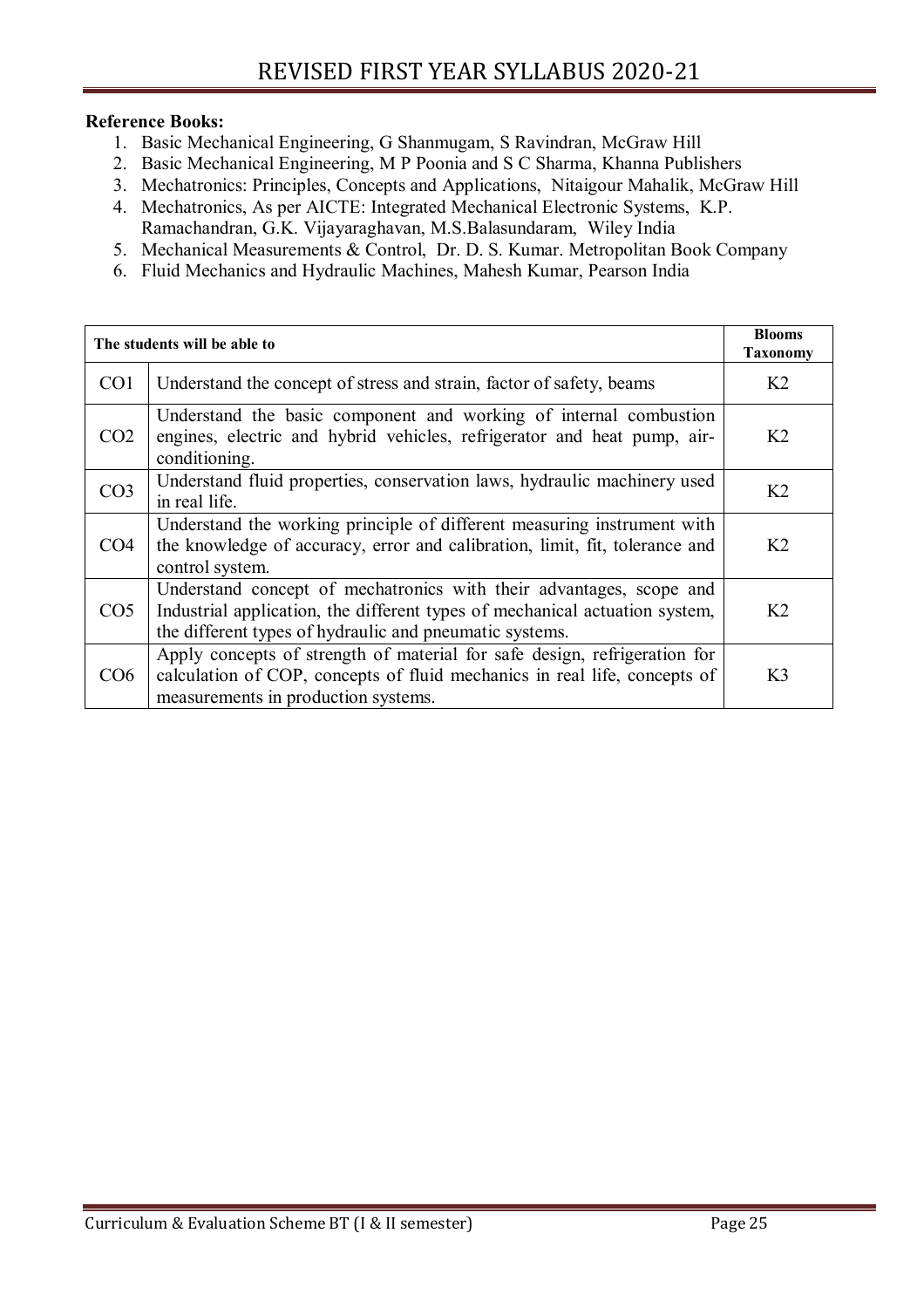#### **Reference Books:**

- 1. Basic Mechanical Engineering, G Shanmugam, S Ravindran, McGraw Hill
- 2. Basic Mechanical Engineering, M P Poonia and S C Sharma, Khanna Publishers
- 3. Mechatronics: Principles, Concepts and Applications, Nitaigour Mahalik, McGraw Hill
- 4. Mechatronics, As per AICTE: Integrated Mechanical Electronic Systems, K.P. Ramachandran, G.K. Vijayaraghavan, M.S.Balasundaram, Wiley India
- 5. Mechanical Measurements & Control, Dr. D. S. Kumar. Metropolitan Book Company
- 6. Fluid Mechanics and Hydraulic Machines, Mahesh Kumar, Pearson India

|                 | The students will be able to                                                                                                                                                                                  | <b>Blooms</b><br><b>Taxonomy</b> |
|-----------------|---------------------------------------------------------------------------------------------------------------------------------------------------------------------------------------------------------------|----------------------------------|
| CO <sub>1</sub> | Understand the concept of stress and strain, factor of safety, beams                                                                                                                                          | K <sub>2</sub>                   |
| CO <sub>2</sub> | Understand the basic component and working of internal combustion<br>engines, electric and hybrid vehicles, refrigerator and heat pump, air-<br>conditioning.                                                 | K <sub>2</sub>                   |
| CO <sub>3</sub> | Understand fluid properties, conservation laws, hydraulic machinery used<br>in real life.                                                                                                                     | K <sub>2</sub>                   |
| CO <sub>4</sub> | Understand the working principle of different measuring instrument with<br>the knowledge of accuracy, error and calibration, limit, fit, tolerance and<br>control system.                                     | K <sub>2</sub>                   |
| CO <sub>5</sub> | Understand concept of mechatronics with their advantages, scope and<br>Industrial application, the different types of mechanical actuation system,<br>the different types of hydraulic and pneumatic systems. | K <sub>2</sub>                   |
| CO6             | Apply concepts of strength of material for safe design, refrigeration for<br>calculation of COP, concepts of fluid mechanics in real life, concepts of<br>measurements in production systems.                 | K <sub>3</sub>                   |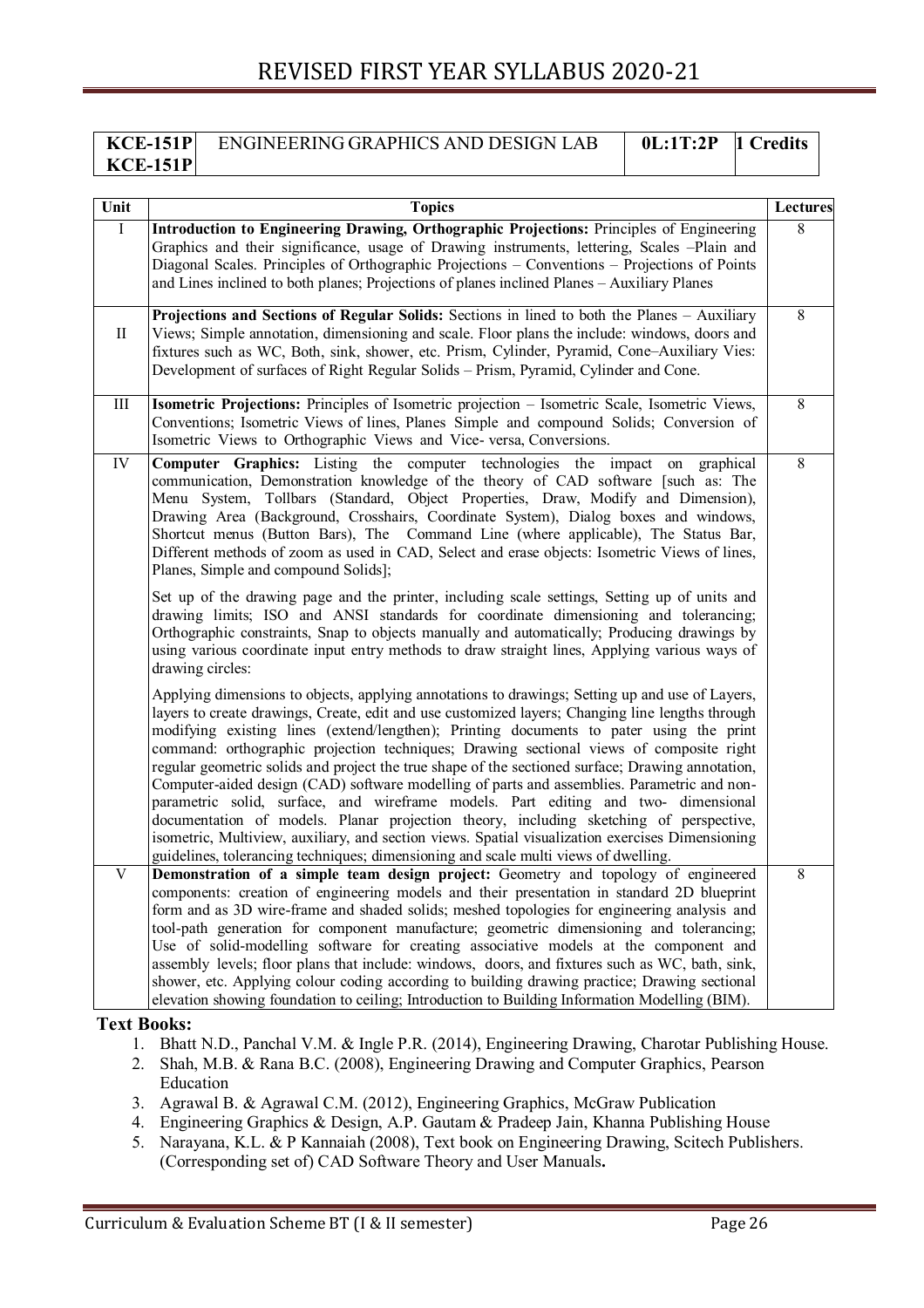#### **KCE-151P KCE-151P** ENGINEERING GRAPHICS AND DESIGN LAB **0L:1T:2P 1 Credits**

|              | <b>Topics</b>                                                                                                                                                                                                                                                                                                                                                                                                                                                                                                                                                                                                                                                                                                                                                                                                                                                                                                                                                            | <b>Lectures</b> |
|--------------|--------------------------------------------------------------------------------------------------------------------------------------------------------------------------------------------------------------------------------------------------------------------------------------------------------------------------------------------------------------------------------------------------------------------------------------------------------------------------------------------------------------------------------------------------------------------------------------------------------------------------------------------------------------------------------------------------------------------------------------------------------------------------------------------------------------------------------------------------------------------------------------------------------------------------------------------------------------------------|-----------------|
| $\bf{I}$     | Introduction to Engineering Drawing, Orthographic Projections: Principles of Engineering<br>Graphics and their significance, usage of Drawing instruments, lettering, Scales –Plain and<br>Diagonal Scales. Principles of Orthographic Projections – Conventions – Projections of Points<br>and Lines inclined to both planes; Projections of planes inclined Planes - Auxiliary Planes                                                                                                                                                                                                                                                                                                                                                                                                                                                                                                                                                                                  | 8               |
| $\mathbf{I}$ | Projections and Sections of Regular Solids: Sections in lined to both the Planes - Auxiliary<br>Views; Simple annotation, dimensioning and scale. Floor plans the include: windows, doors and<br>fixtures such as WC, Both, sink, shower, etc. Prism, Cylinder, Pyramid, Cone-Auxiliary Vies:<br>Development of surfaces of Right Regular Solids - Prism, Pyramid, Cylinder and Cone.                                                                                                                                                                                                                                                                                                                                                                                                                                                                                                                                                                                    | 8               |
| $\rm III$    | <b>Isometric Projections:</b> Principles of Isometric projection – Isometric Scale, Isometric Views,<br>Conventions; Isometric Views of lines, Planes Simple and compound Solids; Conversion of<br>Isometric Views to Orthographic Views and Vice-versa, Conversions.                                                                                                                                                                                                                                                                                                                                                                                                                                                                                                                                                                                                                                                                                                    | 8               |
| IV           | Computer Graphics: Listing the computer technologies the impact on graphical<br>communication, Demonstration knowledge of the theory of CAD software [such as: The<br>Menu System, Tollbars (Standard, Object Properties, Draw, Modify and Dimension),<br>Drawing Area (Background, Crosshairs, Coordinate System), Dialog boxes and windows,<br>Shortcut menus (Button Bars), The Command Line (where applicable), The Status Bar,<br>Different methods of zoom as used in CAD, Select and erase objects: Isometric Views of lines,<br>Planes, Simple and compound Solids];                                                                                                                                                                                                                                                                                                                                                                                             | 8               |
|              | Set up of the drawing page and the printer, including scale settings, Setting up of units and<br>drawing limits; ISO and ANSI standards for coordinate dimensioning and tolerancing;<br>Orthographic constraints, Snap to objects manually and automatically; Producing drawings by<br>using various coordinate input entry methods to draw straight lines, Applying various ways of<br>drawing circles:                                                                                                                                                                                                                                                                                                                                                                                                                                                                                                                                                                 |                 |
|              | Applying dimensions to objects, applying annotations to drawings; Setting up and use of Layers,<br>layers to create drawings, Create, edit and use customized layers; Changing line lengths through<br>modifying existing lines (extend/lengthen); Printing documents to pater using the print<br>command: orthographic projection techniques; Drawing sectional views of composite right<br>regular geometric solids and project the true shape of the sectioned surface; Drawing annotation,<br>Computer-aided design (CAD) software modelling of parts and assemblies. Parametric and non-<br>parametric solid, surface, and wireframe models. Part editing and two- dimensional<br>documentation of models. Planar projection theory, including sketching of perspective,<br>isometric, Multiview, auxiliary, and section views. Spatial visualization exercises Dimensioning<br>guidelines, tolerancing techniques; dimensioning and scale multi views of dwelling. |                 |
| V            | Demonstration of a simple team design project: Geometry and topology of engineered<br>components: creation of engineering models and their presentation in standard 2D blueprint<br>form and as 3D wire-frame and shaded solids; meshed topologies for engineering analysis and<br>tool-path generation for component manufacture; geometric dimensioning and tolerancing;<br>Use of solid-modelling software for creating associative models at the component and<br>assembly levels; floor plans that include: windows, doors, and fixtures such as WC, bath, sink,<br>shower, etc. Applying colour coding according to building drawing practice; Drawing sectional<br>elevation showing foundation to ceiling; Introduction to Building Information Modelling (BIM).                                                                                                                                                                                                 | 8               |

- 1. Bhatt N.D., Panchal V.M. & Ingle P.R. (2014), Engineering Drawing, Charotar Publishing House.
- 2. Shah, M.B. & Rana B.C. (2008), Engineering Drawing and Computer Graphics, Pearson Education
- 3. Agrawal B. & Agrawal C.M. (2012), Engineering Graphics, McGraw Publication
- 4. Engineering Graphics & Design, A.P. Gautam & Pradeep Jain, Khanna Publishing House
- 5. Narayana, K.L. & P Kannaiah (2008), Text book on Engineering Drawing, Scitech Publishers. (Corresponding set of) CAD Software Theory and User Manuals**.**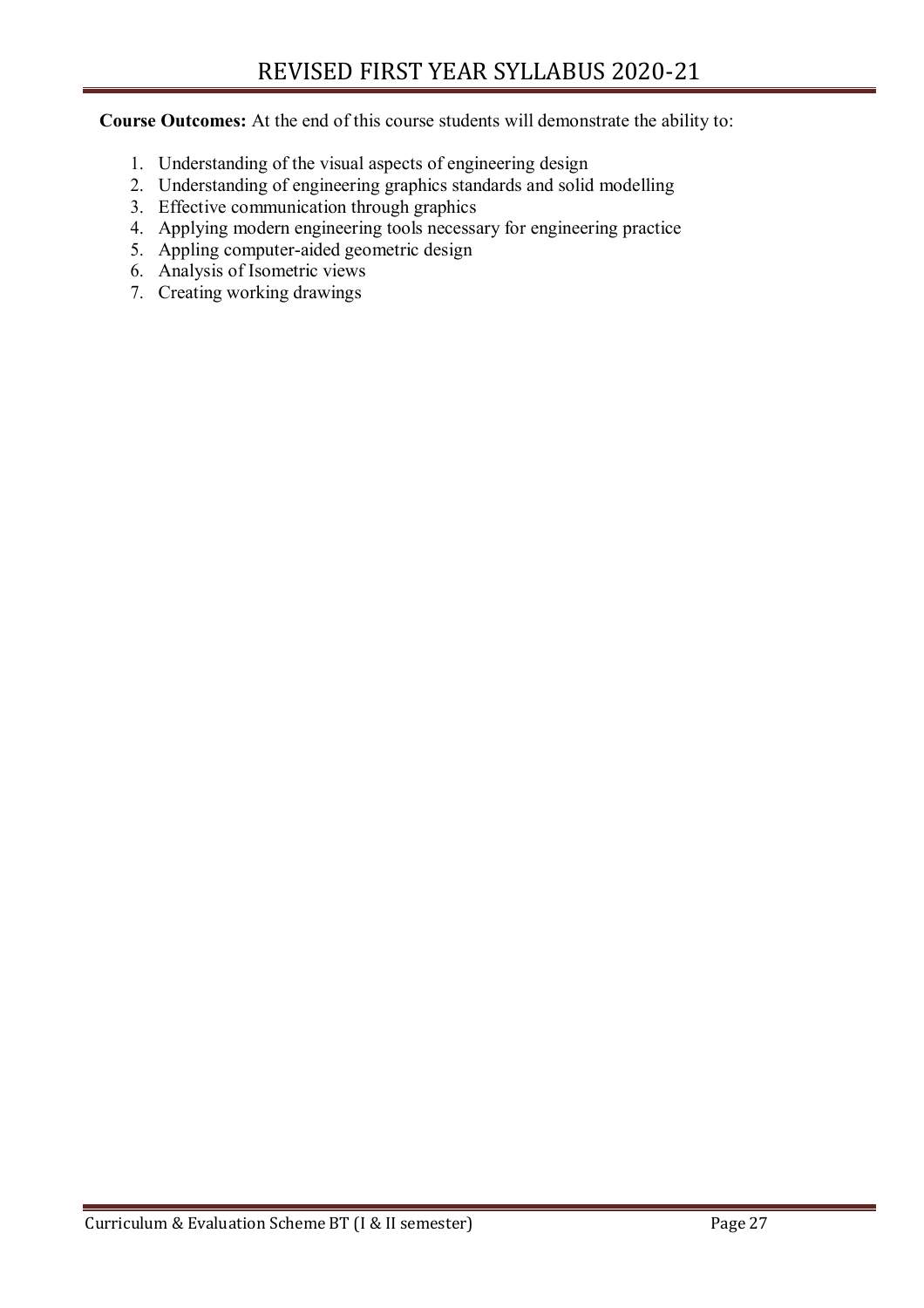**Course Outcomes:** At the end of this course students will demonstrate the ability to:

- 1. Understanding of the visual aspects of engineering design
- 2. Understanding of engineering graphics standards and solid modelling
- 3. Effective communication through graphics
- 4. Applying modern engineering tools necessary for engineering practice
- 5. Appling computer-aided geometric design
- 6. Analysis of Isometric views
- 7. Creating working drawings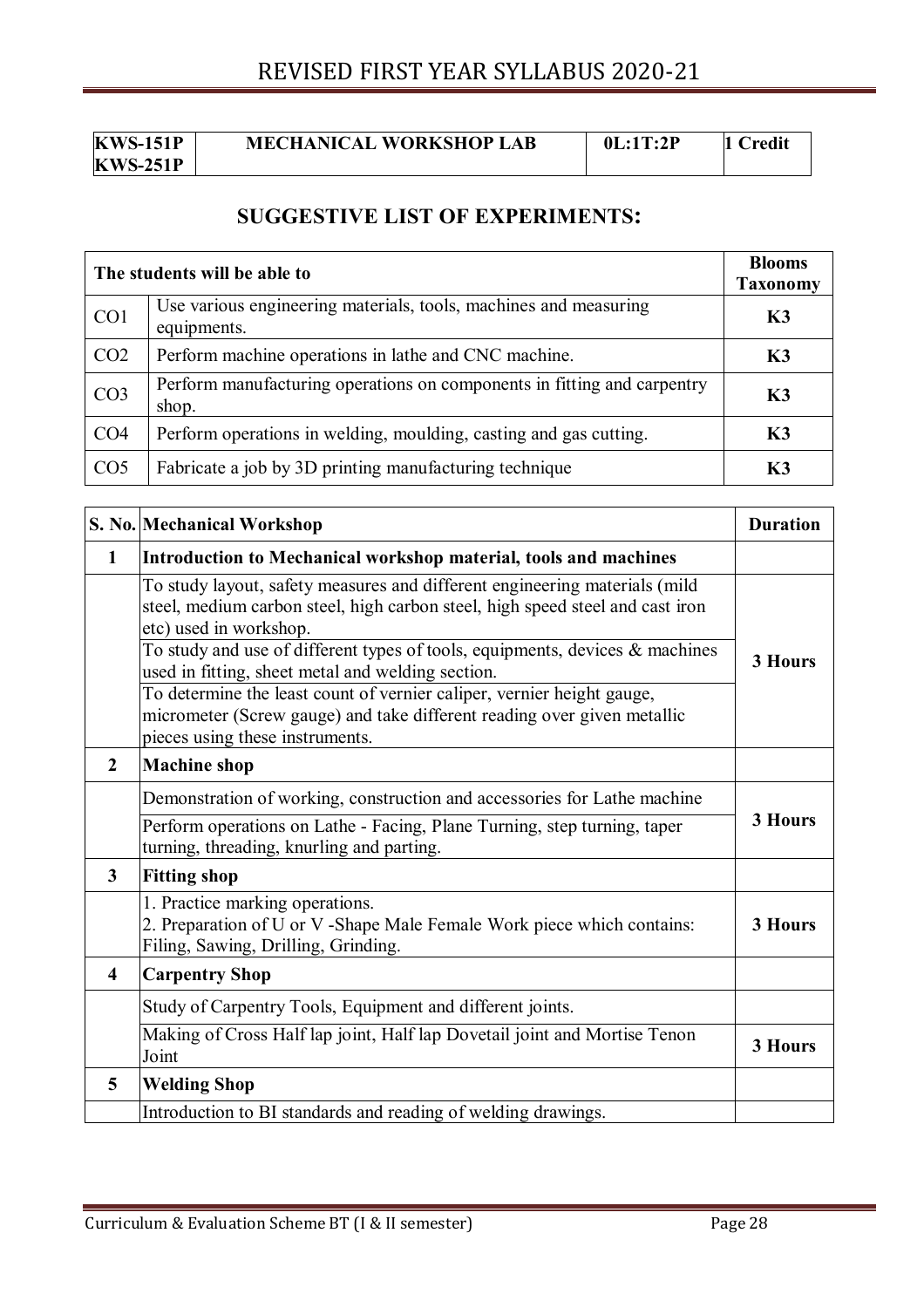| KWS-151P        |  |
|-----------------|--|
| <b>KWS-251P</b> |  |

**MECHANICAL WORKSHOP LAB 0L:1T:2P 1 Credit** 

#### **SUGGESTIVE LIST OF EXPERIMENTS:**

| The students will be able to |                                                                                  | <b>Blooms</b><br><b>Taxonomy</b> |
|------------------------------|----------------------------------------------------------------------------------|----------------------------------|
| CO1                          | Use various engineering materials, tools, machines and measuring<br>equipments.  | K3                               |
| CO <sub>2</sub>              | Perform machine operations in lathe and CNC machine.                             | K3                               |
| CO <sub>3</sub>              | Perform manufacturing operations on components in fitting and carpentry<br>shop. | <b>K3</b>                        |
| CO <sub>4</sub>              | Perform operations in welding, moulding, casting and gas cutting.                | K3                               |
| CO <sub>5</sub>              | Fabricate a job by 3D printing manufacturing technique                           | К3                               |

|                         | S. No. Mechanical Workshop                                                                                                                                                            | <b>Duration</b> |  |
|-------------------------|---------------------------------------------------------------------------------------------------------------------------------------------------------------------------------------|-----------------|--|
| $\mathbf{1}$            | Introduction to Mechanical workshop material, tools and machines                                                                                                                      |                 |  |
|                         | To study layout, safety measures and different engineering materials (mild<br>steel, medium carbon steel, high carbon steel, high speed steel and cast iron<br>etc) used in workshop. |                 |  |
|                         | To study and use of different types of tools, equipments, devices $\&$ machines<br>used in fitting, sheet metal and welding section.                                                  | 3 Hours         |  |
|                         | To determine the least count of vernier caliper, vernier height gauge,<br>micrometer (Screw gauge) and take different reading over given metallic<br>pieces using these instruments.  |                 |  |
| $\overline{2}$          | <b>Machine</b> shop                                                                                                                                                                   |                 |  |
|                         | Demonstration of working, construction and accessories for Lathe machine                                                                                                              |                 |  |
|                         | Perform operations on Lathe - Facing, Plane Turning, step turning, taper<br>turning, threading, knurling and parting.                                                                 | 3 Hours         |  |
| $\mathbf{3}$            | <b>Fitting shop</b>                                                                                                                                                                   |                 |  |
|                         | 1. Practice marking operations.<br>2. Preparation of U or V -Shape Male Female Work piece which contains:<br>Filing, Sawing, Drilling, Grinding.                                      | 3 Hours         |  |
| $\overline{\mathbf{4}}$ | <b>Carpentry Shop</b>                                                                                                                                                                 |                 |  |
|                         | Study of Carpentry Tools, Equipment and different joints.                                                                                                                             |                 |  |
|                         | Making of Cross Half lap joint, Half lap Dovetail joint and Mortise Tenon<br>Joint                                                                                                    | <b>3 Hours</b>  |  |
| 5                       | <b>Welding Shop</b>                                                                                                                                                                   |                 |  |
|                         | Introduction to BI standards and reading of welding drawings.                                                                                                                         |                 |  |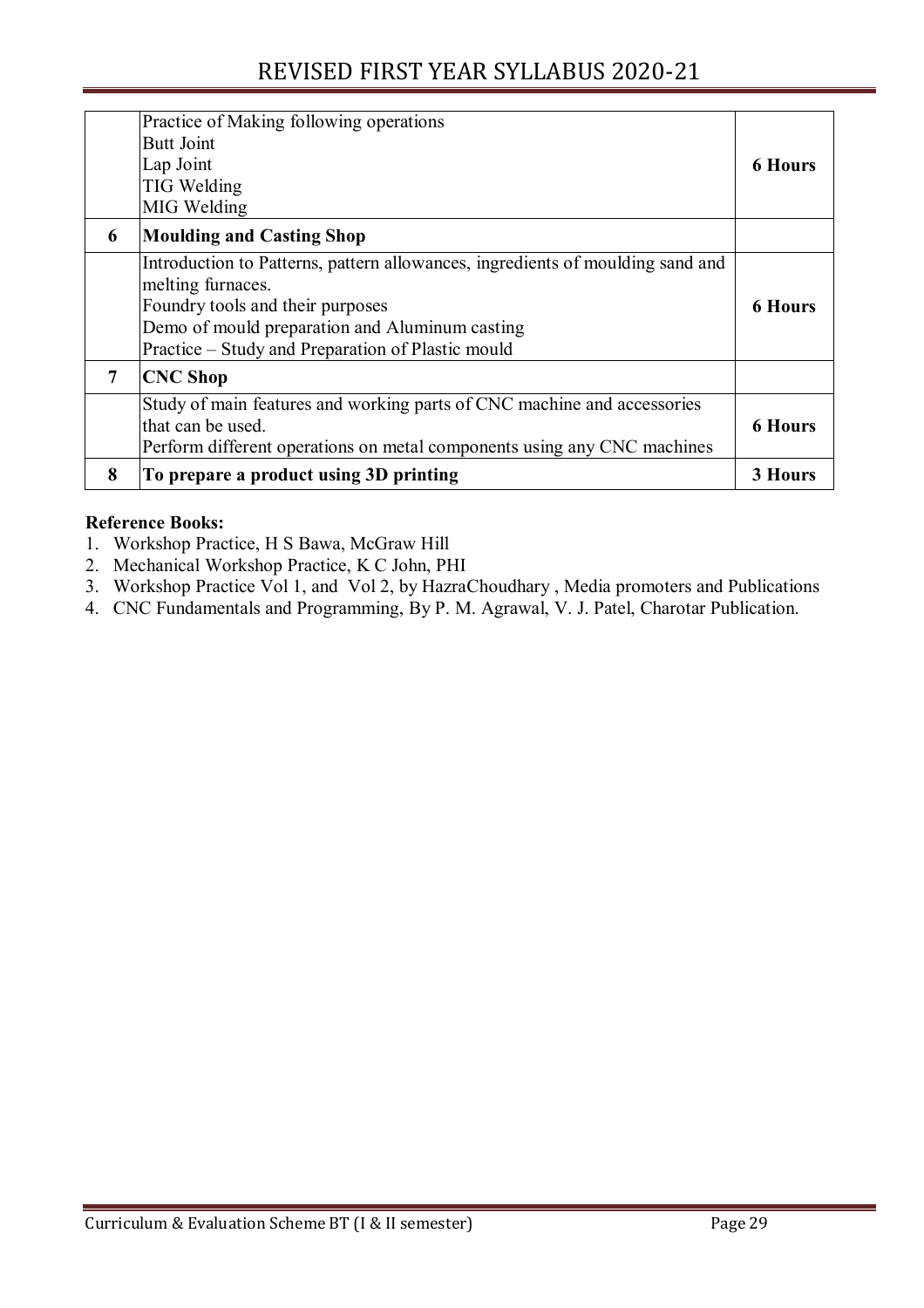|   | Practice of Making following operations<br><b>Butt Joint</b><br>Lap Joint<br><b>TIG Welding</b><br>MIG Welding                                                                                                                                 | <b>6 Hours</b> |
|---|------------------------------------------------------------------------------------------------------------------------------------------------------------------------------------------------------------------------------------------------|----------------|
| 6 | <b>Moulding and Casting Shop</b>                                                                                                                                                                                                               |                |
|   | Introduction to Patterns, pattern allowances, ingredients of moulding sand and<br>melting furnaces.<br>Foundry tools and their purposes<br>Demo of mould preparation and Aluminum casting<br>Practice – Study and Preparation of Plastic mould | <b>6 Hours</b> |
| 7 | <b>CNC Shop</b>                                                                                                                                                                                                                                |                |
|   | Study of main features and working parts of CNC machine and accessories<br>that can be used.<br>Perform different operations on metal components using any CNC machines                                                                        | <b>6 Hours</b> |
| 8 | To prepare a product using 3D printing                                                                                                                                                                                                         | <b>3 Hours</b> |

#### **Reference Books:**

- 1. Workshop Practice, H S Bawa, McGraw Hill
- 2. Mechanical Workshop Practice, K C John, PHI
- 3. Workshop Practice Vol 1, and Vol 2, by HazraChoudhary , Media promoters and Publications
- 4. CNC Fundamentals and Programming, By P. M. Agrawal, V. J. Patel, Charotar Publication.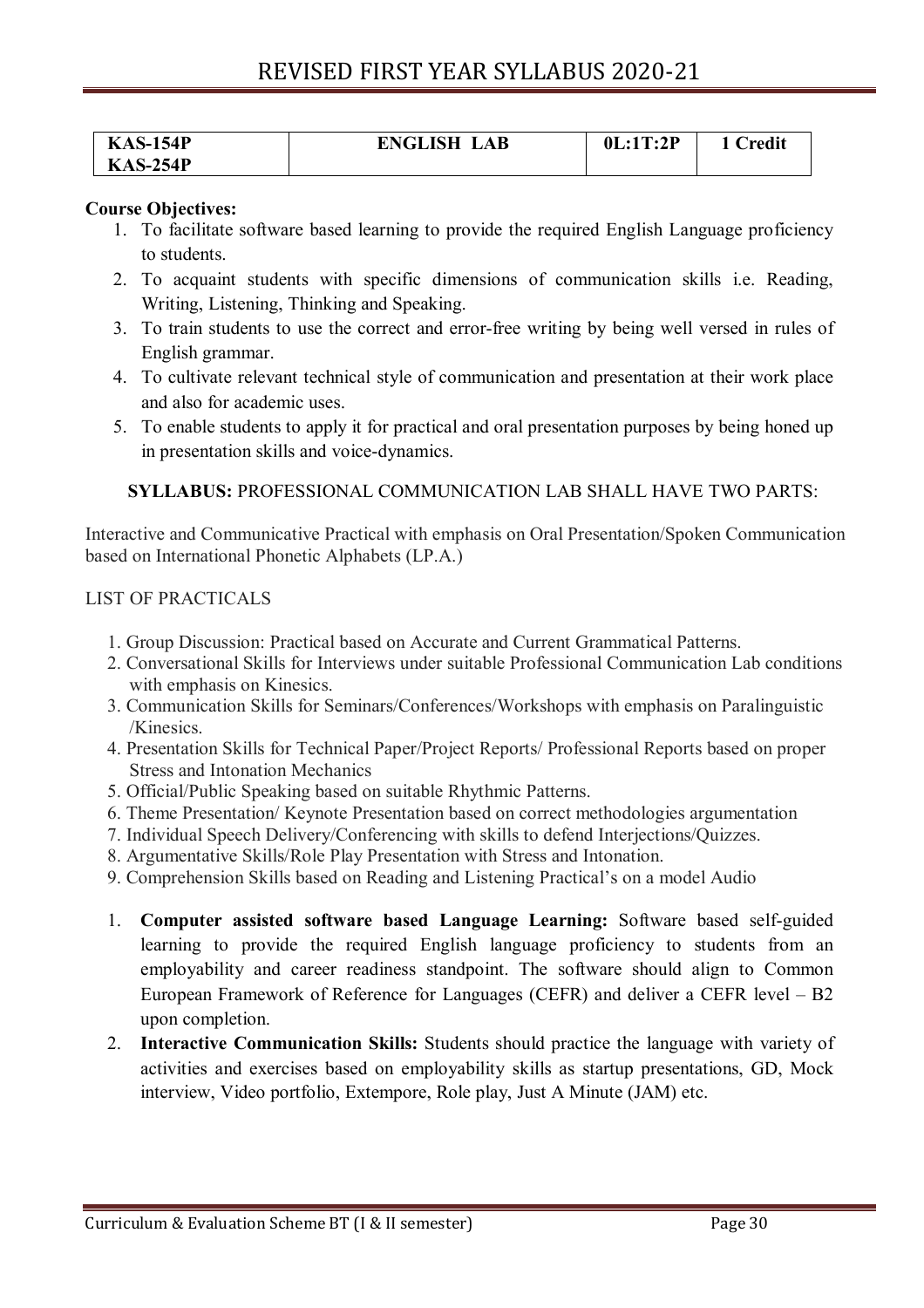| <b>KAS-154P</b> | <b>ENGLISH LAB</b> | 0L:1T:2P | 1 Credit |
|-----------------|--------------------|----------|----------|
| <b>KAS-254P</b> |                    |          |          |

#### **Course Objectives:**

- 1. To facilitate software based learning to provide the required English Language proficiency to students.
- 2. To acquaint students with specific dimensions of communication skills i.e. Reading, Writing, Listening, Thinking and Speaking.
- 3. To train students to use the correct and error-free writing by being well versed in rules of English grammar.
- 4. To cultivate relevant technical style of communication and presentation at their work place and also for academic uses.
- 5. To enable students to apply it for practical and oral presentation purposes by being honed up in presentation skills and voice-dynamics.

**SYLLABUS:** PROFESSIONAL COMMUNICATION LAB SHALL HAVE TWO PARTS:

Interactive and Communicative Practical with emphasis on Oral Presentation/Spoken Communication based on International Phonetic Alphabets (LP.A.)

#### LIST OF PRACTICALS

- 1. Group Discussion: Practical based on Accurate and Current Grammatical Patterns.
- 2. Conversational Skills for Interviews under suitable Professional Communication Lab conditions with emphasis on Kinesics.
- 3. Communication Skills for Seminars/Conferences/Workshops with emphasis on Paralinguistic /Kinesics.
- 4. Presentation Skills for Technical Paper/Project Reports/ Professional Reports based on proper Stress and Intonation Mechanics
- 5. Official/Public Speaking based on suitable Rhythmic Patterns.
- 6. Theme Presentation/ Keynote Presentation based on correct methodologies argumentation
- 7. Individual Speech Delivery/Conferencing with skills to defend Interjections/Quizzes.
- 8. Argumentative Skills/Role Play Presentation with Stress and Intonation.
- 9. Comprehension Skills based on Reading and Listening Practical's on a model Audio
- 1. **Computer assisted software based Language Learning:** Software based self-guided learning to provide the required English language proficiency to students from an employability and career readiness standpoint. The software should align to Common European Framework of Reference for Languages (CEFR) and deliver a CEFR level – B2 upon completion.
- 2. **Interactive Communication Skills:** Students should practice the language with variety of activities and exercises based on employability skills as startup presentations, GD, Mock interview, Video portfolio, Extempore, Role play, Just A Minute (JAM) etc.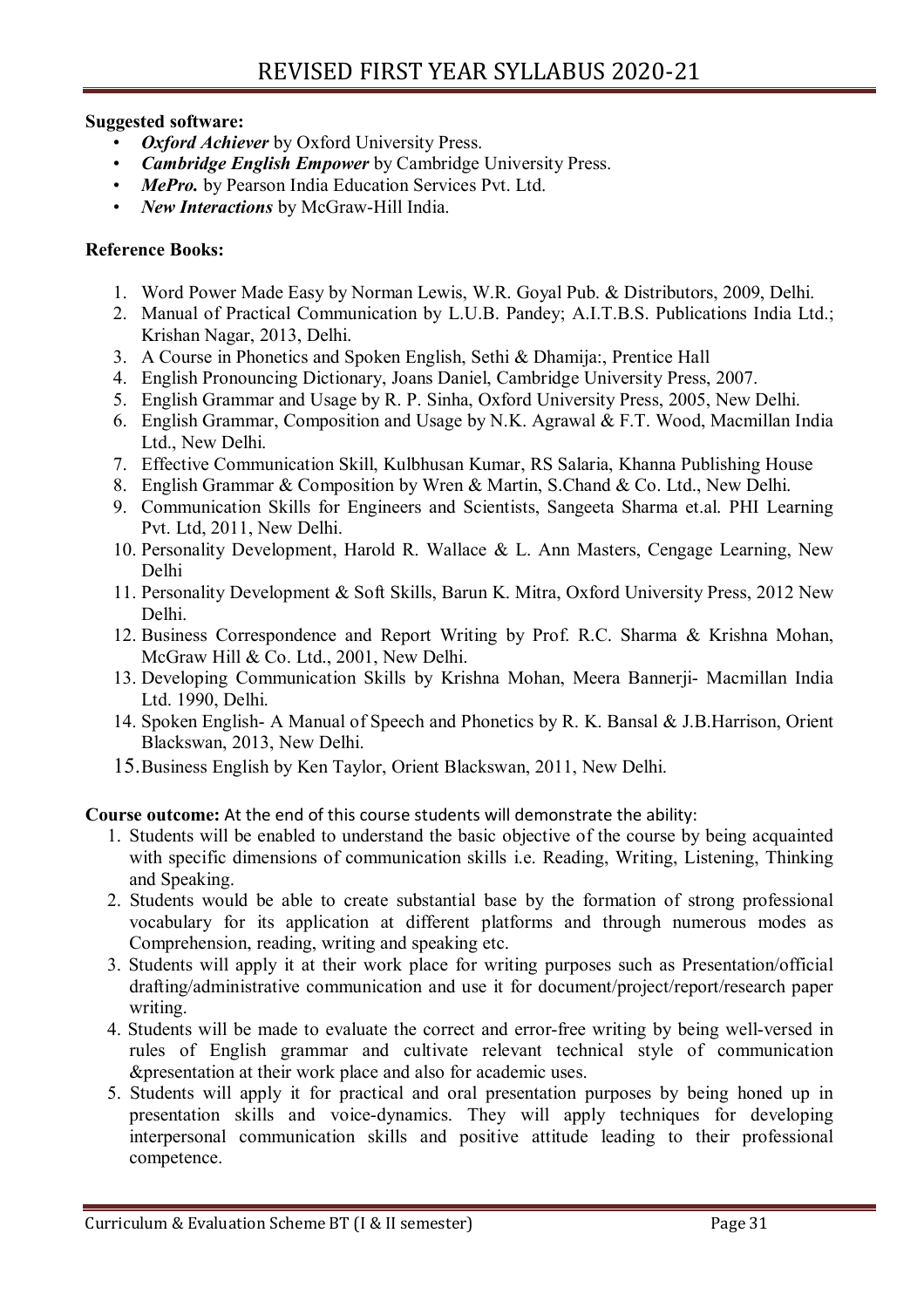#### **Suggested software:**

- *Oxford Achiever* by Oxford University Press.
- *Cambridge English Empower* by Cambridge University Press.
- *MePro.* by Pearson India Education Services Pvt. Ltd.
- *New Interactions* by McGraw-Hill India.

#### **Reference Books:**

- 1. Word Power Made Easy by Norman Lewis, W.R. Goyal Pub. & Distributors, 2009, Delhi.
- 2. Manual of Practical Communication by L.U.B. Pandey; A.I.T.B.S. Publications India Ltd.; Krishan Nagar, 2013, Delhi.
- 3. A Course in Phonetics and Spoken English, Sethi & Dhamija:, Prentice Hall
- 4. English Pronouncing Dictionary, Joans Daniel, Cambridge University Press, 2007.
- 5. English Grammar and Usage by R. P. Sinha, Oxford University Press, 2005, New Delhi.
- 6. English Grammar, Composition and Usage by N.K. Agrawal & F.T. Wood, Macmillan India Ltd., New Delhi.
- 7. Effective Communication Skill, Kulbhusan Kumar, RS Salaria, Khanna Publishing House
- 8. English Grammar & Composition by Wren & Martin, S.Chand & Co. Ltd., New Delhi.
- 9. Communication Skills for Engineers and Scientists, Sangeeta Sharma et.al. PHI Learning Pvt. Ltd, 2011, New Delhi.
- 10. Personality Development, Harold R. Wallace & L. Ann Masters, Cengage Learning, New Delhi
- 11. Personality Development & Soft Skills, Barun K. Mitra, Oxford University Press, 2012 New Delhi.
- 12. Business Correspondence and Report Writing by Prof. R.C. Sharma & Krishna Mohan, McGraw Hill & Co. Ltd., 2001, New Delhi.
- 13. Developing Communication Skills by Krishna Mohan, Meera Bannerji- Macmillan India Ltd. 1990, Delhi.
- 14. Spoken English- A Manual of Speech and Phonetics by R. K. Bansal & J.B.Harrison, Orient Blackswan, 2013, New Delhi.
- 15.Business English by Ken Taylor, Orient Blackswan, 2011, New Delhi.

**Course outcome:** At the end of this course students will demonstrate the ability:

- 1. Students will be enabled to understand the basic objective of the course by being acquainted with specific dimensions of communication skills i.e. Reading, Writing, Listening, Thinking and Speaking.
- 2. Students would be able to create substantial base by the formation of strong professional vocabulary for its application at different platforms and through numerous modes as Comprehension, reading, writing and speaking etc.
- 3. Students will apply it at their work place for writing purposes such as Presentation/official drafting/administrative communication and use it for document/project/report/research paper writing.
- 4. Students will be made to evaluate the correct and error-free writing by being well-versed in rules of English grammar and cultivate relevant technical style of communication &presentation at their work place and also for academic uses.
- 5. Students will apply it for practical and oral presentation purposes by being honed up in presentation skills and voice-dynamics. They will apply techniques for developing interpersonal communication skills and positive attitude leading to their professional competence.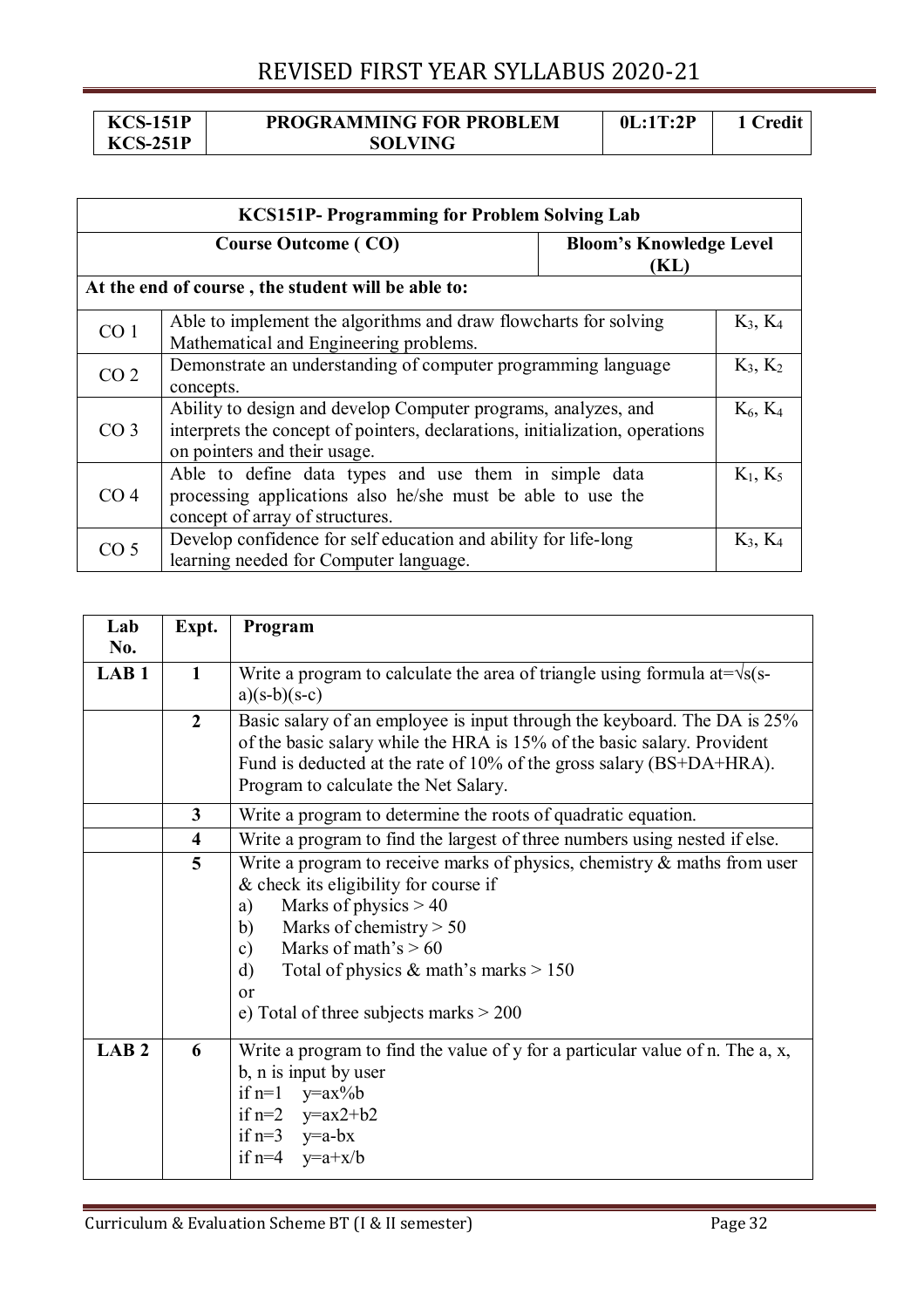**KCS-151P KCS-251P** 

#### **PROGRAMMING FOR PROBLEM SOLVING**

| <b>KCS151P- Programming for Problem Solving Lab</b>                                                                                                                        |                                                                                                                                                                                              |  |            |  |
|----------------------------------------------------------------------------------------------------------------------------------------------------------------------------|----------------------------------------------------------------------------------------------------------------------------------------------------------------------------------------------|--|------------|--|
|                                                                                                                                                                            | <b>Course Outcome (CO)</b><br><b>Bloom's Knowledge Level</b><br>(KL)                                                                                                                         |  |            |  |
|                                                                                                                                                                            | At the end of course, the student will be able to:                                                                                                                                           |  |            |  |
| CO <sub>1</sub>                                                                                                                                                            | Able to implement the algorithms and draw flowcharts for solving<br>$K_3, K_4$<br>Mathematical and Engineering problems.                                                                     |  |            |  |
| CO <sub>2</sub>                                                                                                                                                            | Demonstrate an understanding of computer programming language<br>$K_3, K_2$<br>concepts.                                                                                                     |  |            |  |
| CO <sub>3</sub>                                                                                                                                                            | $K_6, K_4$<br>Ability to design and develop Computer programs, analyzes, and<br>interprets the concept of pointers, declarations, initialization, operations<br>on pointers and their usage. |  |            |  |
| Able to define data types and use them in simple data<br>CO <sub>4</sub><br>processing applications also he/she must be able to use the<br>concept of array of structures. |                                                                                                                                                                                              |  | $K_1, K_5$ |  |
| CO <sub>5</sub>                                                                                                                                                            | Develop confidence for self education and ability for life-long<br>learning needed for Computer language.                                                                                    |  | $K_3, K_4$ |  |

| Lab              | Expt.                   | Program                                                                             |  |
|------------------|-------------------------|-------------------------------------------------------------------------------------|--|
| No.              |                         |                                                                                     |  |
| LAB <sub>1</sub> | $\mathbf{1}$            | Write a program to calculate the area of triangle using formula at= $\sqrt{s(s-1)}$ |  |
|                  |                         | $a)(s-b)(s-c)$                                                                      |  |
|                  | $\overline{2}$          | Basic salary of an employee is input through the keyboard. The DA is 25%            |  |
|                  |                         | of the basic salary while the HRA is 15% of the basic salary. Provident             |  |
|                  |                         | Fund is deducted at the rate of 10% of the gross salary (BS+DA+HRA).                |  |
|                  |                         | Program to calculate the Net Salary.                                                |  |
|                  | 3                       | Write a program to determine the roots of quadratic equation.                       |  |
|                  | $\overline{\mathbf{4}}$ | Write a program to find the largest of three numbers using nested if else.          |  |
|                  | 5                       | Write a program to receive marks of physics, chemistry $\&$ maths from user         |  |
|                  |                         | & check its eligibility for course if                                               |  |
|                  |                         | Marks of physics $> 40$<br>a)                                                       |  |
|                  |                         | Marks of chemistry $> 50$<br>b)                                                     |  |
|                  |                         | Marks of math's $> 60$<br>$\mathbf{c})$                                             |  |
|                  |                         | Total of physics $\&$ math's marks $> 150$<br>$\rm d$                               |  |
|                  |                         | <sub>or</sub>                                                                       |  |
|                  |                         | e) Total of three subjects marks $> 200$                                            |  |
| LAB <sub>2</sub> | 6                       | Write a program to find the value of $y$ for a particular value of n. The a, x,     |  |
|                  |                         | b, n is input by user                                                               |  |
|                  |                         | if $n=1$<br>$y=a x\% b$                                                             |  |
|                  |                         | if $n=2$ $y=ax2+b2$                                                                 |  |
|                  |                         | if $n=3$ $y=a-bx$                                                                   |  |
|                  |                         | if $n=4$ $y=a+x/b$                                                                  |  |
|                  |                         |                                                                                     |  |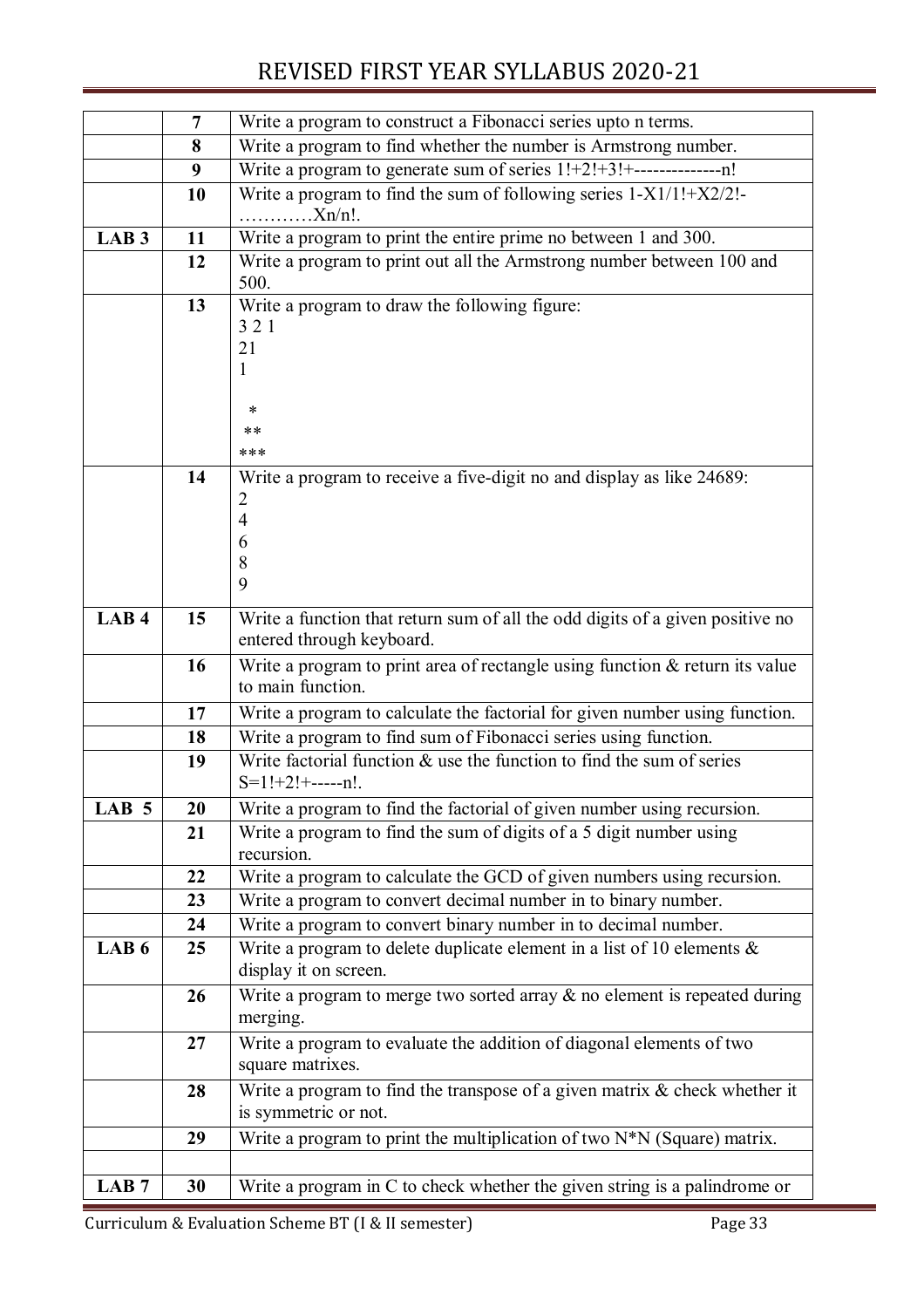|                  | $\overline{7}$ | Write a program to construct a Fibonacci series upto n terms.                                         |  |
|------------------|----------------|-------------------------------------------------------------------------------------------------------|--|
|                  | 8              | Write a program to find whether the number is Armstrong number.                                       |  |
|                  | 9              | Write a program to generate sum of series 1!+2!+3!+----------------n!                                 |  |
|                  | 10             | Write a program to find the sum of following series $1-X1/1!+X2/2!$<br>.Xn/n!                         |  |
| LAB <sub>3</sub> | 11             | Write a program to print the entire prime no between 1 and 300.                                       |  |
|                  | 12             | Write a program to print out all the Armstrong number between 100 and                                 |  |
|                  |                | 500.                                                                                                  |  |
|                  | 13             | Write a program to draw the following figure:<br>321                                                  |  |
|                  |                | 21                                                                                                    |  |
|                  |                | 1                                                                                                     |  |
|                  |                |                                                                                                       |  |
|                  |                | *                                                                                                     |  |
|                  |                | $***$                                                                                                 |  |
|                  |                | ***                                                                                                   |  |
|                  | 14             | Write a program to receive a five-digit no and display as like 24689:                                 |  |
|                  |                | 2<br>4                                                                                                |  |
|                  |                | 6                                                                                                     |  |
|                  |                | 8                                                                                                     |  |
|                  |                | 9                                                                                                     |  |
| LAB <sub>4</sub> | 15             | Write a function that return sum of all the odd digits of a given positive no                         |  |
|                  |                | entered through keyboard.                                                                             |  |
|                  | 16             | Write a program to print area of rectangle using function $&$ return its value                        |  |
|                  |                | to main function.                                                                                     |  |
|                  | 17             | Write a program to calculate the factorial for given number using function.                           |  |
|                  | 18             | Write a program to find sum of Fibonacci series using function.                                       |  |
|                  | 19             | Write factorial function $\&$ use the function to find the sum of series<br>$S=1!+2!+$ ------n!.      |  |
| LAB 5            | <b>20</b>      | Write a program to find the factorial of given number using recursion.                                |  |
|                  | 21             | Write a program to find the sum of digits of a 5 digit number using                                   |  |
|                  |                | recursion.                                                                                            |  |
|                  | 22             | Write a program to calculate the GCD of given numbers using recursion.                                |  |
|                  | 23             | Write a program to convert decimal number in to binary number.                                        |  |
|                  | 24             | Write a program to convert binary number in to decimal number.                                        |  |
| LAB <sub>6</sub> | 25             | Write a program to delete duplicate element in a list of 10 elements $\&$                             |  |
|                  |                | display it on screen.                                                                                 |  |
|                  | 26             | Write a program to merge two sorted array $\&$ no element is repeated during                          |  |
|                  |                | merging.                                                                                              |  |
|                  | 27             | Write a program to evaluate the addition of diagonal elements of two                                  |  |
|                  |                | square matrixes.                                                                                      |  |
|                  | 28             | Write a program to find the transpose of a given matrix $\&$ check whether it<br>is symmetric or not. |  |
|                  |                |                                                                                                       |  |
|                  | 29             | Write a program to print the multiplication of two N*N (Square) matrix.                               |  |
|                  |                |                                                                                                       |  |
| LAB <sub>7</sub> | 30             | Write a program in C to check whether the given string is a palindrome or                             |  |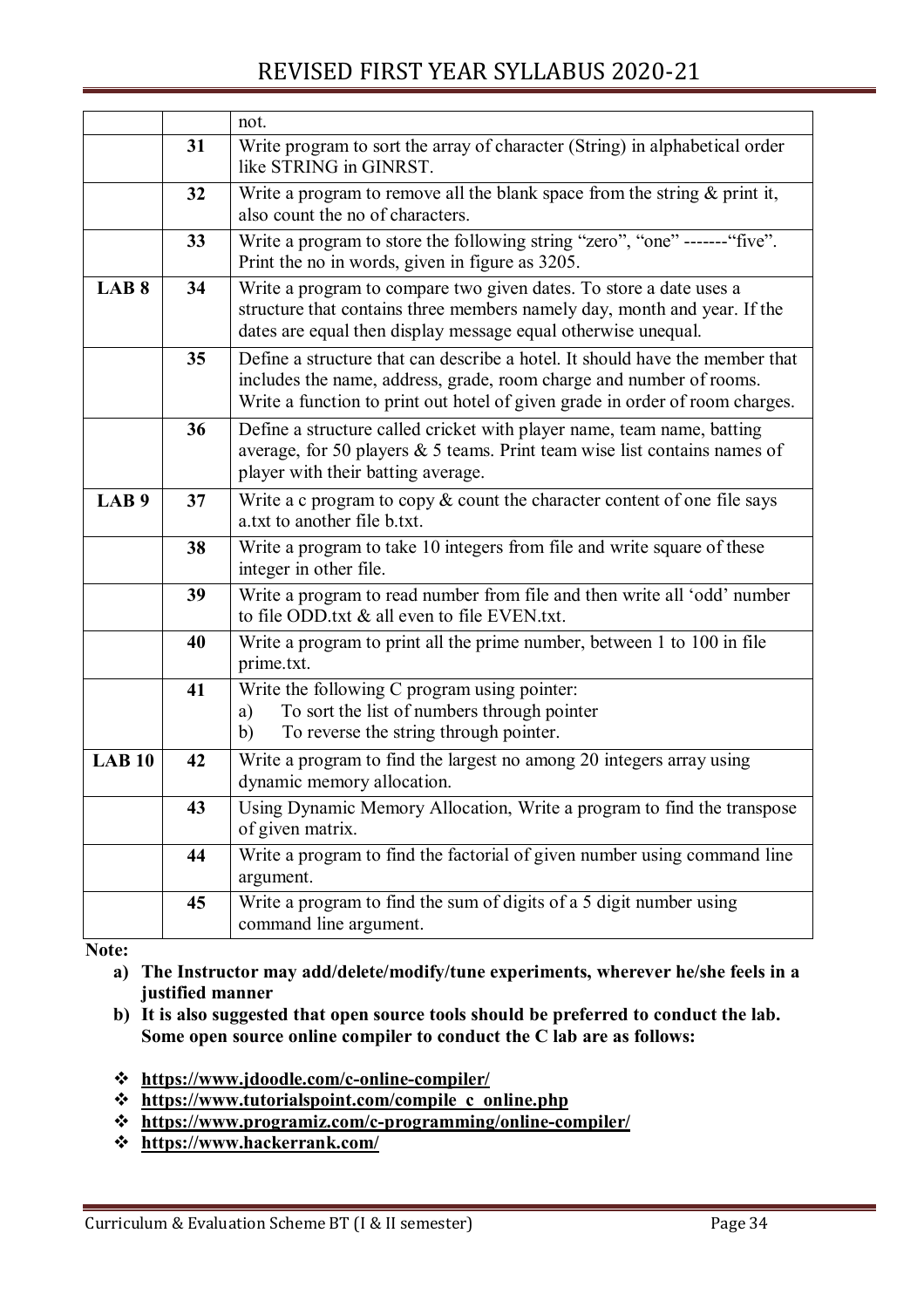|                  |    | not.                                                                                                                                                                                                                                |  |
|------------------|----|-------------------------------------------------------------------------------------------------------------------------------------------------------------------------------------------------------------------------------------|--|
|                  | 31 | Write program to sort the array of character (String) in alphabetical order<br>like STRING in GINRST.                                                                                                                               |  |
|                  | 32 | Write a program to remove all the blank space from the string $\&$ print it,<br>also count the no of characters.                                                                                                                    |  |
|                  | 33 | Write a program to store the following string "zero", "one" ------- "five".<br>Print the no in words, given in figure as 3205.                                                                                                      |  |
| LAB <sub>8</sub> | 34 | Write a program to compare two given dates. To store a date uses a<br>structure that contains three members namely day, month and year. If the<br>dates are equal then display message equal otherwise unequal.                     |  |
|                  | 35 | Define a structure that can describe a hotel. It should have the member that<br>includes the name, address, grade, room charge and number of rooms.<br>Write a function to print out hotel of given grade in order of room charges. |  |
|                  | 36 | Define a structure called cricket with player name, team name, batting<br>average, for 50 players $&$ 5 teams. Print team wise list contains names of<br>player with their batting average.                                         |  |
| LAB <sub>9</sub> | 37 | Write a c program to copy $\&$ count the character content of one file says<br>a.txt to another file b.txt.                                                                                                                         |  |
|                  | 38 | Write a program to take 10 integers from file and write square of these<br>integer in other file.                                                                                                                                   |  |
|                  | 39 | Write a program to read number from file and then write all 'odd' number<br>to file ODD.txt & all even to file EVEN.txt.                                                                                                            |  |
|                  | 40 | Write a program to print all the prime number, between 1 to 100 in file<br>prime.txt.                                                                                                                                               |  |
|                  | 41 | Write the following C program using pointer:<br>To sort the list of numbers through pointer<br>a)<br>To reverse the string through pointer.<br>b)                                                                                   |  |
| <b>LAB 10</b>    | 42 | Write a program to find the largest no among 20 integers array using<br>dynamic memory allocation.                                                                                                                                  |  |
|                  | 43 | Using Dynamic Memory Allocation, Write a program to find the transpose<br>of given matrix.                                                                                                                                          |  |
|                  | 44 | Write a program to find the factorial of given number using command line<br>argument.                                                                                                                                               |  |
|                  | 45 | Write a program to find the sum of digits of a 5 digit number using<br>command line argument.                                                                                                                                       |  |

**Note:** 

- **a) The Instructor may add/delete/modify/tune experiments, wherever he/she feels in a justified manner**
- **b) It is also suggested that open source tools should be preferred to conduct the lab. Some open source online compiler to conduct the C lab are as follows:**
- **https://www.jdoodle.com/c-online-compiler/**
- **https://www.tutorialspoint.com/compile\_c\_online.php**
- **https://www.programiz.com/c-programming/online-compiler/**
- **https://www.hackerrank.com/**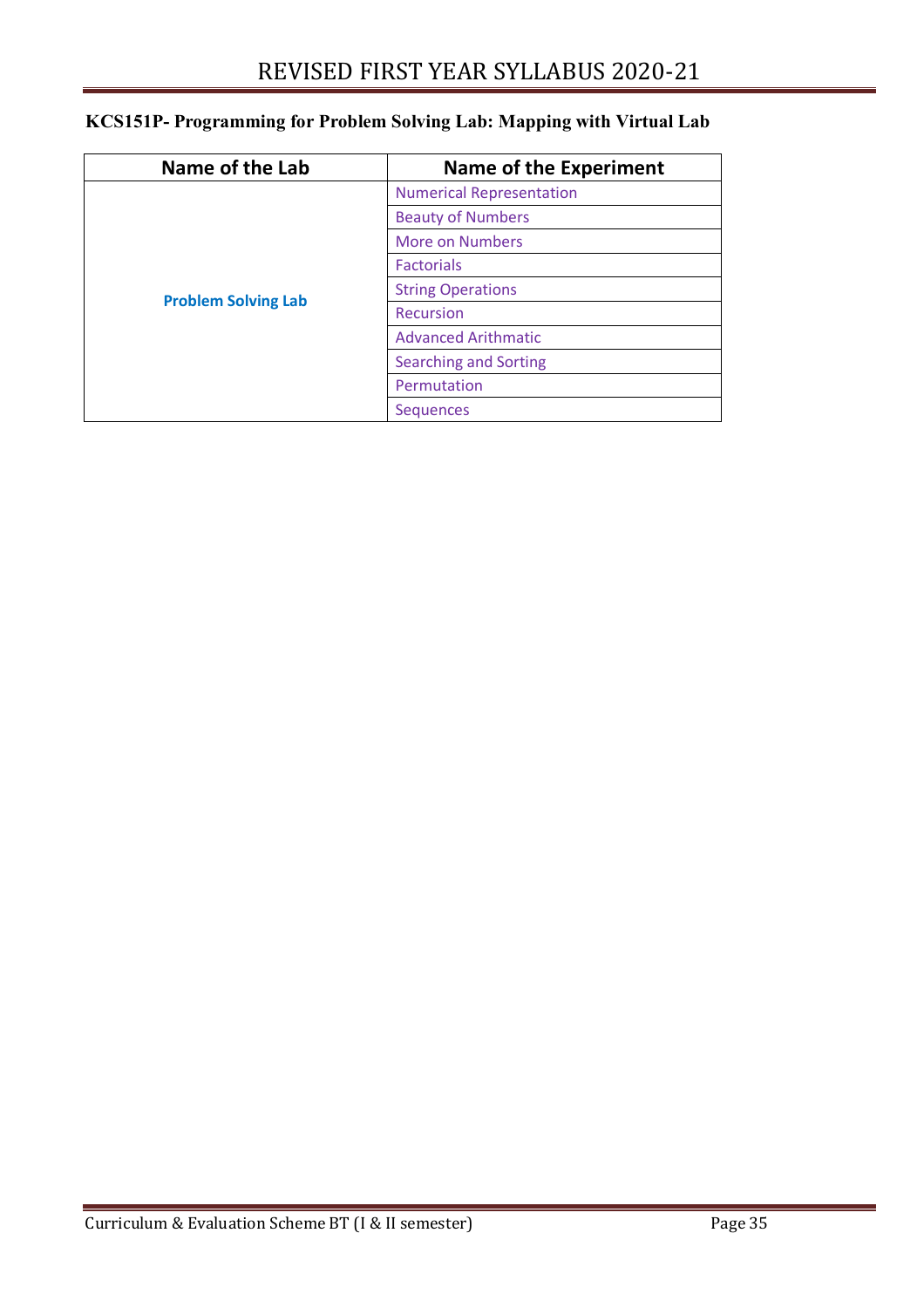| Name of the Lab            | <b>Name of the Experiment</b>   |
|----------------------------|---------------------------------|
|                            | <b>Numerical Representation</b> |
|                            | <b>Beauty of Numbers</b>        |
|                            | More on Numbers                 |
|                            | <b>Factorials</b>               |
|                            | <b>String Operations</b>        |
| <b>Problem Solving Lab</b> | Recursion                       |
|                            | <b>Advanced Arithmatic</b>      |
|                            | <b>Searching and Sorting</b>    |
|                            | Permutation                     |
|                            | <b>Sequences</b>                |

### **KCS151P- Programming for Problem Solving Lab: Mapping with Virtual Lab**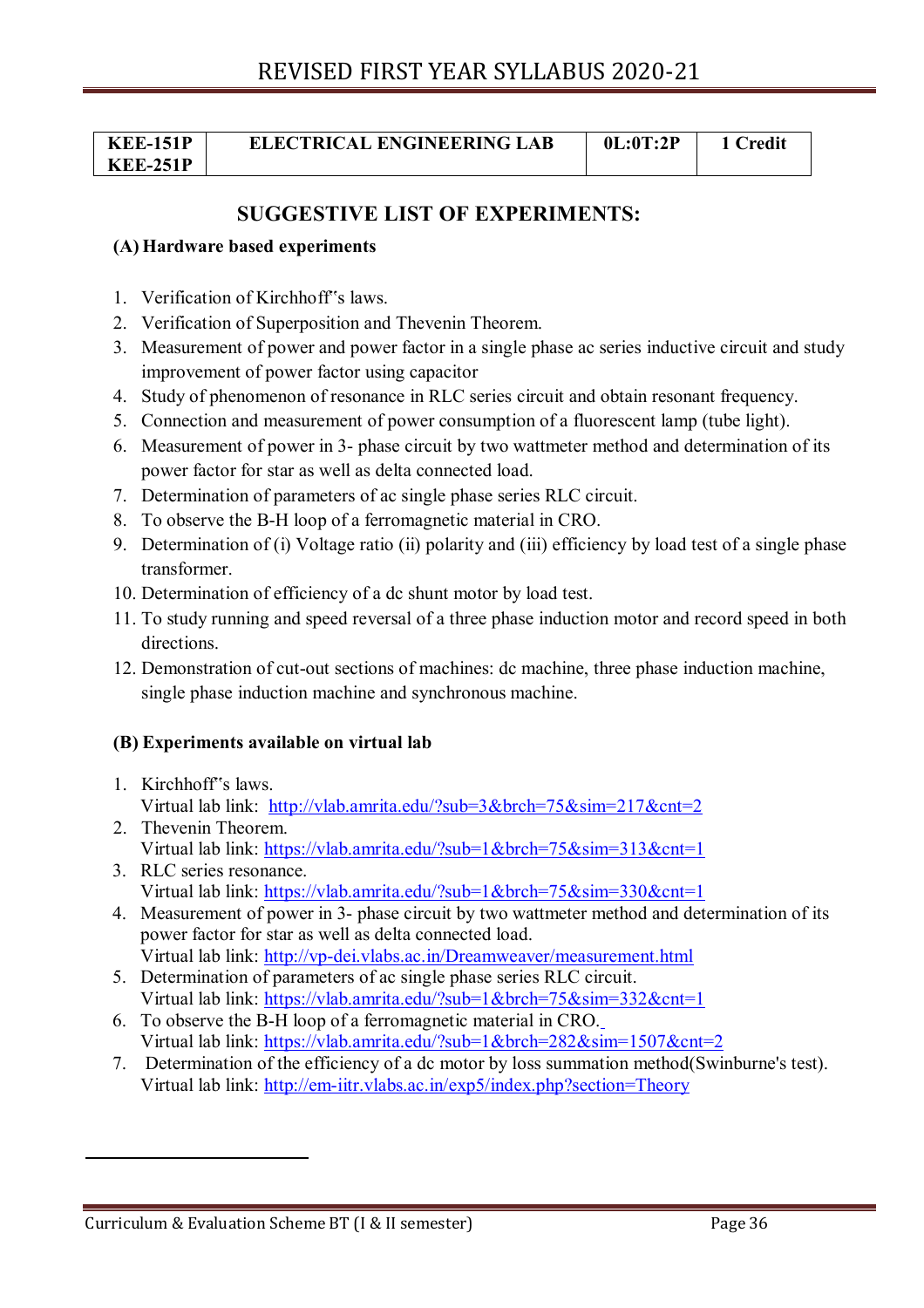| <b>KEE-151P</b> | <b>ELECTRICAL ENGINEERING LAB</b> | 0L:0T:2P | ∑redit |
|-----------------|-----------------------------------|----------|--------|
| <b>KEE-251P</b> |                                   |          |        |

### **SUGGESTIVE LIST OF EXPERIMENTS:**

#### **(A) Hardware based experiments**

- 1. Verification of Kirchhoff"s laws.
- 2. Verification of Superposition and Thevenin Theorem.
- 3. Measurement of power and power factor in a single phase ac series inductive circuit and study improvement of power factor using capacitor
- 4. Study of phenomenon of resonance in RLC series circuit and obtain resonant frequency.
- 5. Connection and measurement of power consumption of a fluorescent lamp (tube light).
- 6. Measurement of power in 3- phase circuit by two wattmeter method and determination of its power factor for star as well as delta connected load.
- 7. Determination of parameters of ac single phase series RLC circuit.
- 8. To observe the B-H loop of a ferromagnetic material in CRO.
- 9. Determination of (i) Voltage ratio (ii) polarity and (iii) efficiency by load test of a single phase transformer.
- 10. Determination of efficiency of a dc shunt motor by load test.
- 11. To study running and speed reversal of a three phase induction motor and record speed in both directions.
- 12. Demonstration of cut-out sections of machines: dc machine, three phase induction machine, single phase induction machine and synchronous machine.

#### **(B) Experiments available on virtual lab**

- 1. Kirchhoff"s laws. Virtual lab link: http://vlab.amrita.edu/?sub=3&brch=75&sim=217&cnt=2
- 2. Thevenin Theorem. Virtual lab link: https://vlab.amrita.edu/?sub=1&brch=75&sim=313&cnt=1
- 3. RLC series resonance. Virtual lab link: https://vlab.amrita.edu/?sub=1&brch=75&sim=330&cnt=1
- 4. Measurement of power in 3- phase circuit by two wattmeter method and determination of its power factor for star as well as delta connected load. Virtual lab link: http://vp-dei.vlabs.ac.in/Dreamweaver/measurement.html
- 5. Determination of parameters of ac single phase series RLC circuit. Virtual lab link: https://vlab.amrita.edu/?sub=1&brch=75&sim=332&cnt=1
- 6. To observe the B-H loop of a ferromagnetic material in CRO. Virtual lab link: https://vlab.amrita.edu/?sub=1&brch=282&sim=1507&cnt=2
- 7. Determination of the efficiency of a dc motor by loss summation method(Swinburne's test). Virtual lab link: http://em-iitr.vlabs.ac.in/exp5/index.php?section=Theory

Curriculum & Evaluation Scheme BT (I & II semester) Page 36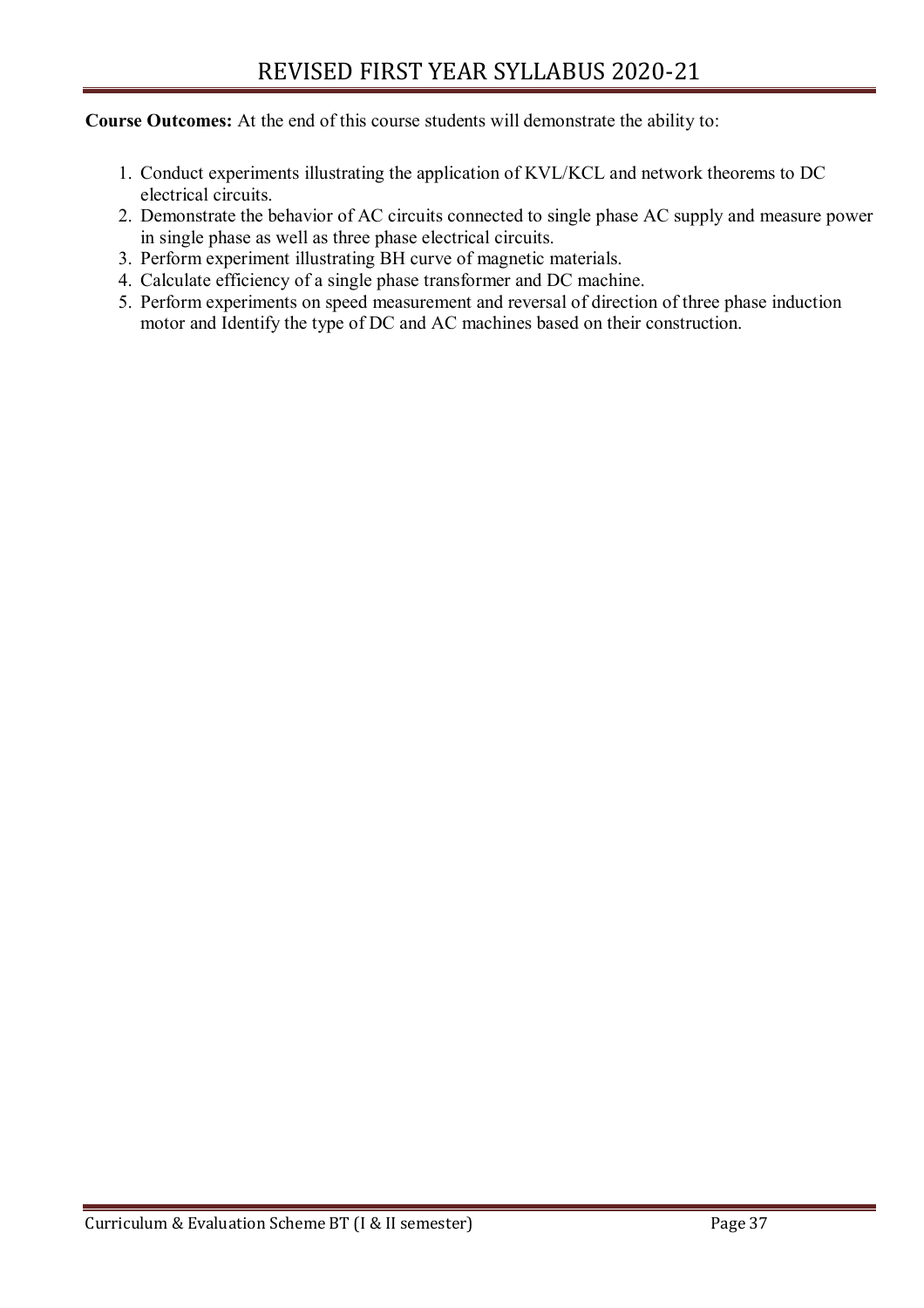**Course Outcomes:** At the end of this course students will demonstrate the ability to:

- 1. Conduct experiments illustrating the application of KVL/KCL and network theorems to DC electrical circuits.
- 2. Demonstrate the behavior of AC circuits connected to single phase AC supply and measure power in single phase as well as three phase electrical circuits.
- 3. Perform experiment illustrating BH curve of magnetic materials.
- 4. Calculate efficiency of a single phase transformer and DC machine.
- 5. Perform experiments on speed measurement and reversal of direction of three phase induction motor and Identify the type of DC and AC machines based on their construction.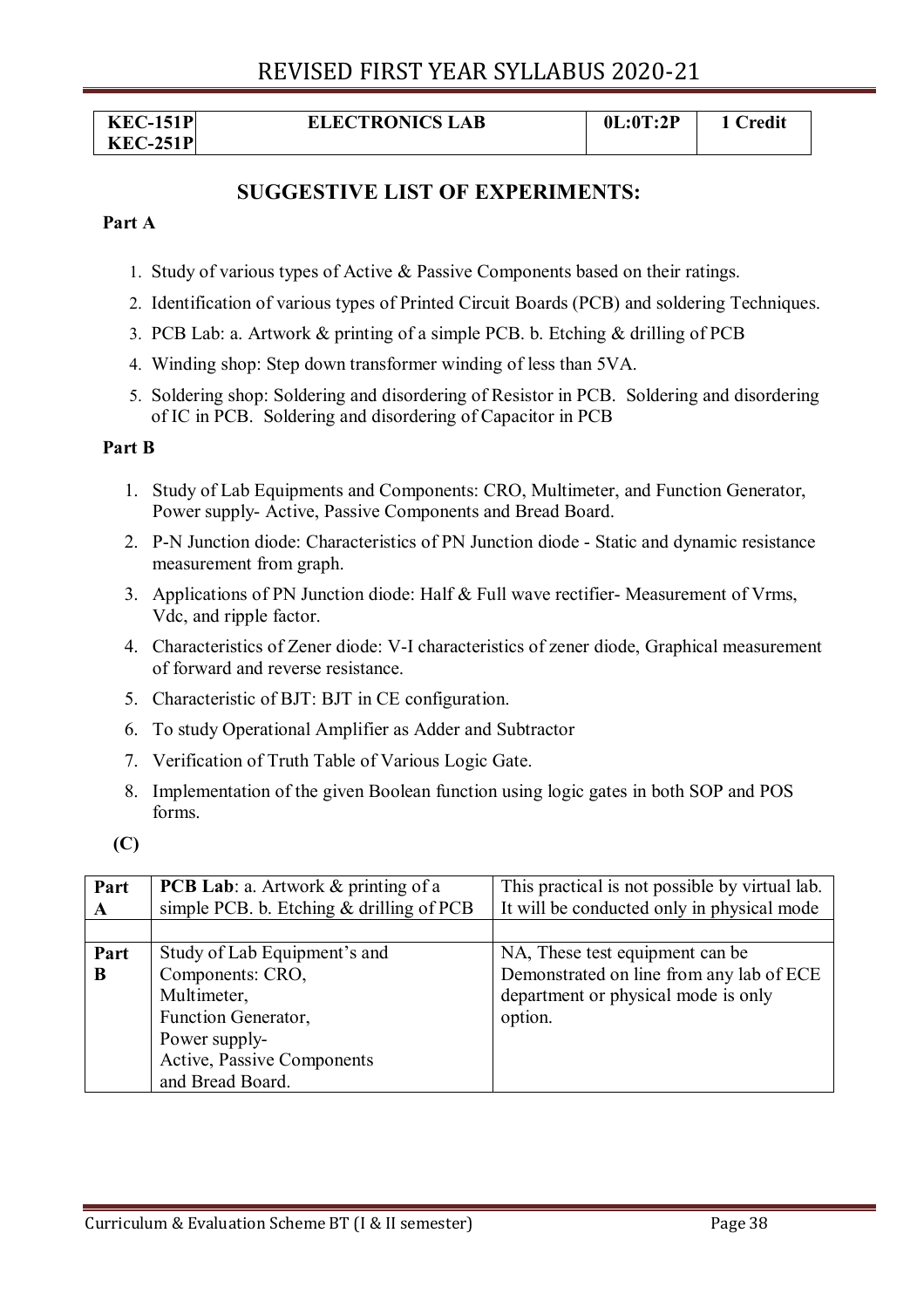| <b>KEC-151P</b> | <b>ELECTRONICS LAB</b> | 0L:0T:2P | 1 Credit |
|-----------------|------------------------|----------|----------|
| <b>KEC-251P</b> |                        |          |          |

### **SUGGESTIVE LIST OF EXPERIMENTS:**

#### **Part A**

- 1. Study of various types of Active & Passive Components based on their ratings.
- 2. Identification of various types of Printed Circuit Boards (PCB) and soldering Techniques.
- 3. PCB Lab: a. Artwork & printing of a simple PCB. b. Etching & drilling of PCB
- 4. Winding shop: Step down transformer winding of less than 5VA.
- 5. Soldering shop: Soldering and disordering of Resistor in PCB. Soldering and disordering of IC in PCB. Soldering and disordering of Capacitor in PCB

#### **Part B**

- 1. Study of Lab Equipments and Components: CRO, Multimeter, and Function Generator, Power supply- Active, Passive Components and Bread Board.
- 2. P-N Junction diode: Characteristics of PN Junction diode Static and dynamic resistance measurement from graph.
- 3. Applications of PN Junction diode: Half & Full wave rectifier- Measurement of Vrms, Vdc, and ripple factor.
- 4. Characteristics of Zener diode: V-I characteristics of zener diode, Graphical measurement of forward and reverse resistance.
- 5. Characteristic of BJT: BJT in CE configuration.
- 6. To study Operational Amplifier as Adder and Subtractor
- 7. Verification of Truth Table of Various Logic Gate.
- 8. Implementation of the given Boolean function using logic gates in both SOP and POS forms.
- **(C)**

| Part | <b>PCB Lab</b> : a. Artwork & printing of a | This practical is not possible by virtual lab. |
|------|---------------------------------------------|------------------------------------------------|
| A    | simple PCB. b. Etching $&$ drilling of PCB  | It will be conducted only in physical mode     |
|      |                                             |                                                |
| Part | Study of Lab Equipment's and                | NA, These test equipment can be                |
| B    | Components: CRO,                            | Demonstrated on line from any lab of ECE       |
|      | Multimeter,                                 | department or physical mode is only            |
|      | Function Generator,                         | option.                                        |
|      | Power supply-                               |                                                |
|      | Active, Passive Components                  |                                                |
|      | and Bread Board.                            |                                                |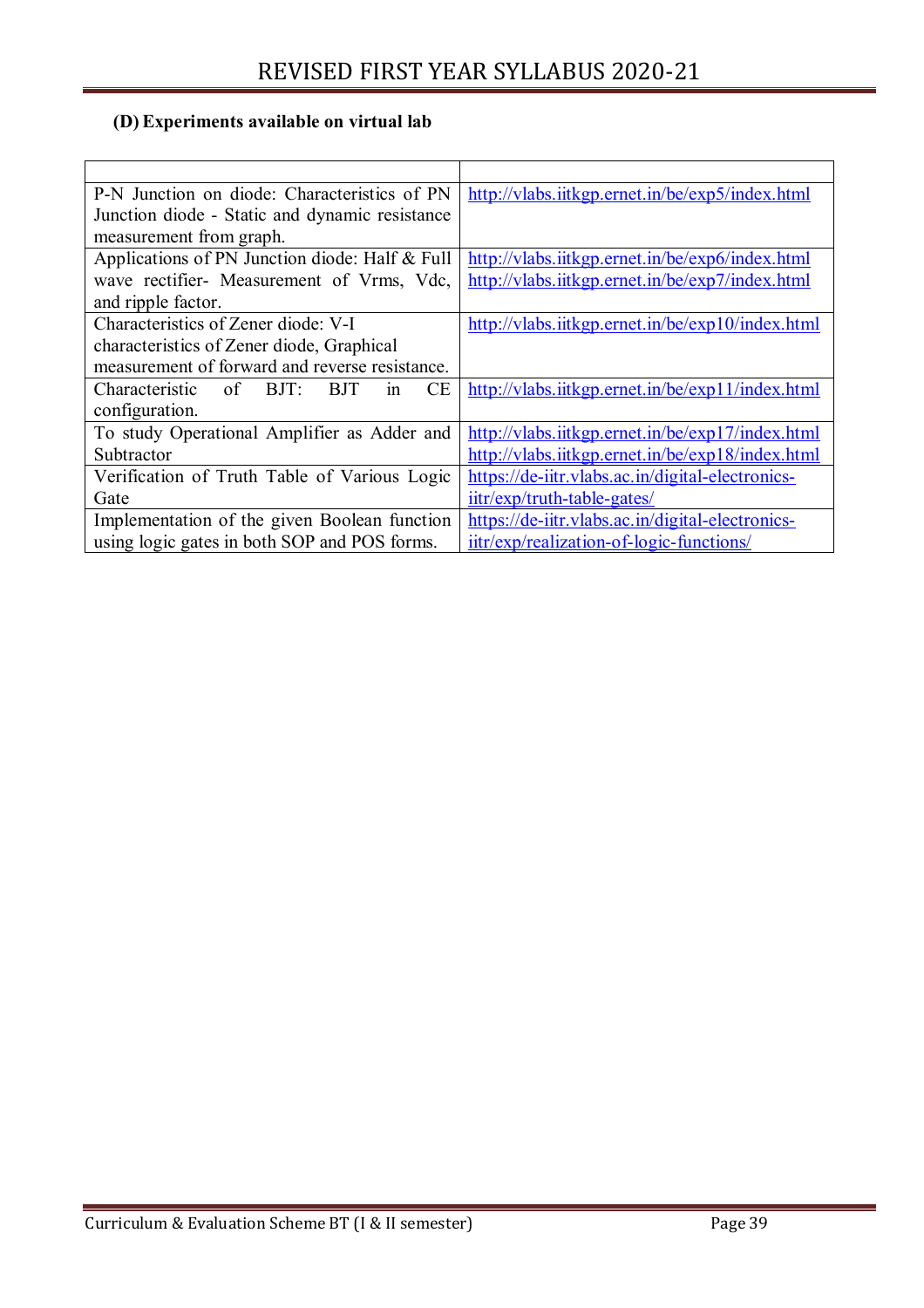### **(D) Experiments available on virtual lab**

| P-N Junction on diode: Characteristics of PN           | http://vlabs.iitkgp.ernet.in/be/exp5/index.html  |
|--------------------------------------------------------|--------------------------------------------------|
| Junction diode - Static and dynamic resistance         |                                                  |
| measurement from graph.                                |                                                  |
| Applications of PN Junction diode: Half & Full         | http://vlabs.iitkgp.ernet.in/be/exp6/index.html  |
| wave rectifier- Measurement of Vrms, Vdc,              | http://vlabs.iitkgp.ernet.in/be/exp7/index.html  |
| and ripple factor.                                     |                                                  |
| Characteristics of Zener diode: V-I                    | http://vlabs.iitkgp.ernet.in/be/exp10/index.html |
| characteristics of Zener diode, Graphical              |                                                  |
| measurement of forward and reverse resistance.         |                                                  |
| СE<br>Characteristic<br>of<br>BJT:<br><b>BJT</b><br>1n | http://vlabs.iitkgp.ernet.in/be/exp11/index.html |
| configuration.                                         |                                                  |
| To study Operational Amplifier as Adder and            | http://vlabs.iitkgp.ernet.in/be/exp17/index.html |
| Subtractor                                             | http://vlabs.iitkgp.ernet.in/be/exp18/index.html |
| Verification of Truth Table of Various Logic           | https://de-iitr.vlabs.ac.in/digital-electronics- |
| Gate                                                   | iitr/exp/truth-table-gates/                      |
| Implementation of the given Boolean function           | https://de-iitr.vlabs.ac.in/digital-electronics- |
| using logic gates in both SOP and POS forms.           | iitr/exp/realization-of-logic-functions/         |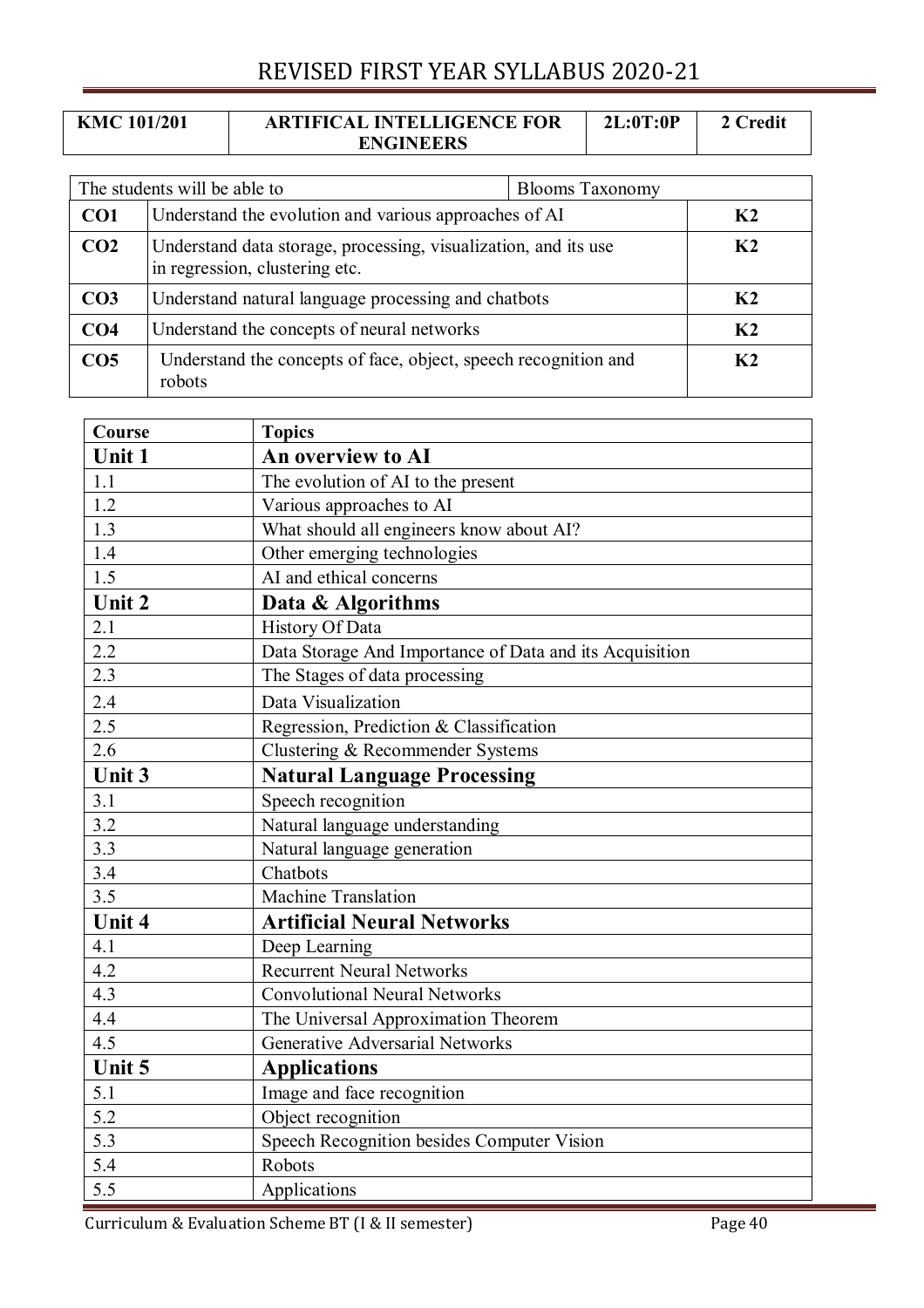| <b>KMC 101/201</b> | <b>ARTIFICAL INTELLIGENCE FOR</b> | 2L:0T:0P | 2 Credit |
|--------------------|-----------------------------------|----------|----------|
|                    | <b>ENGINEERS</b>                  |          |          |

| The students will be able to<br><b>Blooms Taxonomy</b> |                                                                                                   |  |                |
|--------------------------------------------------------|---------------------------------------------------------------------------------------------------|--|----------------|
| CO <sub>1</sub>                                        | Understand the evolution and various approaches of AI                                             |  | K <sub>2</sub> |
| CO <sub>2</sub>                                        | Understand data storage, processing, visualization, and its use<br>in regression, clustering etc. |  | K <sub>2</sub> |
| CO <sub>3</sub>                                        | Understand natural language processing and chatbots                                               |  | K <sub>2</sub> |
| CO <sub>4</sub>                                        | Understand the concepts of neural networks                                                        |  | K <sub>2</sub> |
| CO <sub>5</sub>                                        | Understand the concepts of face, object, speech recognition and<br>robots                         |  | K <sub>2</sub> |

| <b>Course</b> | <b>Topics</b>                                           |  |
|---------------|---------------------------------------------------------|--|
| <b>Unit 1</b> | An overview to AI                                       |  |
| 1.1           | The evolution of AI to the present                      |  |
| 1.2           | Various approaches to AI                                |  |
| 1.3           | What should all engineers know about AI?                |  |
| 1.4           | Other emerging technologies                             |  |
| 1.5           | AI and ethical concerns                                 |  |
| Unit 2        | Data & Algorithms                                       |  |
| 2.1           | History Of Data                                         |  |
| 2.2           | Data Storage And Importance of Data and its Acquisition |  |
| 2.3           | The Stages of data processing                           |  |
| 2.4           | Data Visualization                                      |  |
| 2.5           | Regression, Prediction & Classification                 |  |
| 2.6           | Clustering & Recommender Systems                        |  |
| Unit 3        | <b>Natural Language Processing</b>                      |  |
| 3.1           | Speech recognition                                      |  |
| 3.2           | Natural language understanding                          |  |
| 3.3           | Natural language generation                             |  |
| 3.4           | Chatbots                                                |  |
| 3.5           | Machine Translation                                     |  |
| Unit 4        | <b>Artificial Neural Networks</b>                       |  |
| 4.1           | Deep Learning                                           |  |
| 4.2           | <b>Recurrent Neural Networks</b>                        |  |
| 4.3           | <b>Convolutional Neural Networks</b>                    |  |
| 4.4           | The Universal Approximation Theorem                     |  |
| 4.5           | <b>Generative Adversarial Networks</b>                  |  |
| Unit 5        | <b>Applications</b>                                     |  |
| 5.1           | Image and face recognition                              |  |
| 5.2           | Object recognition                                      |  |
| 5.3           | Speech Recognition besides Computer Vision              |  |
| 5.4           | Robots                                                  |  |
| 5.5           | Applications                                            |  |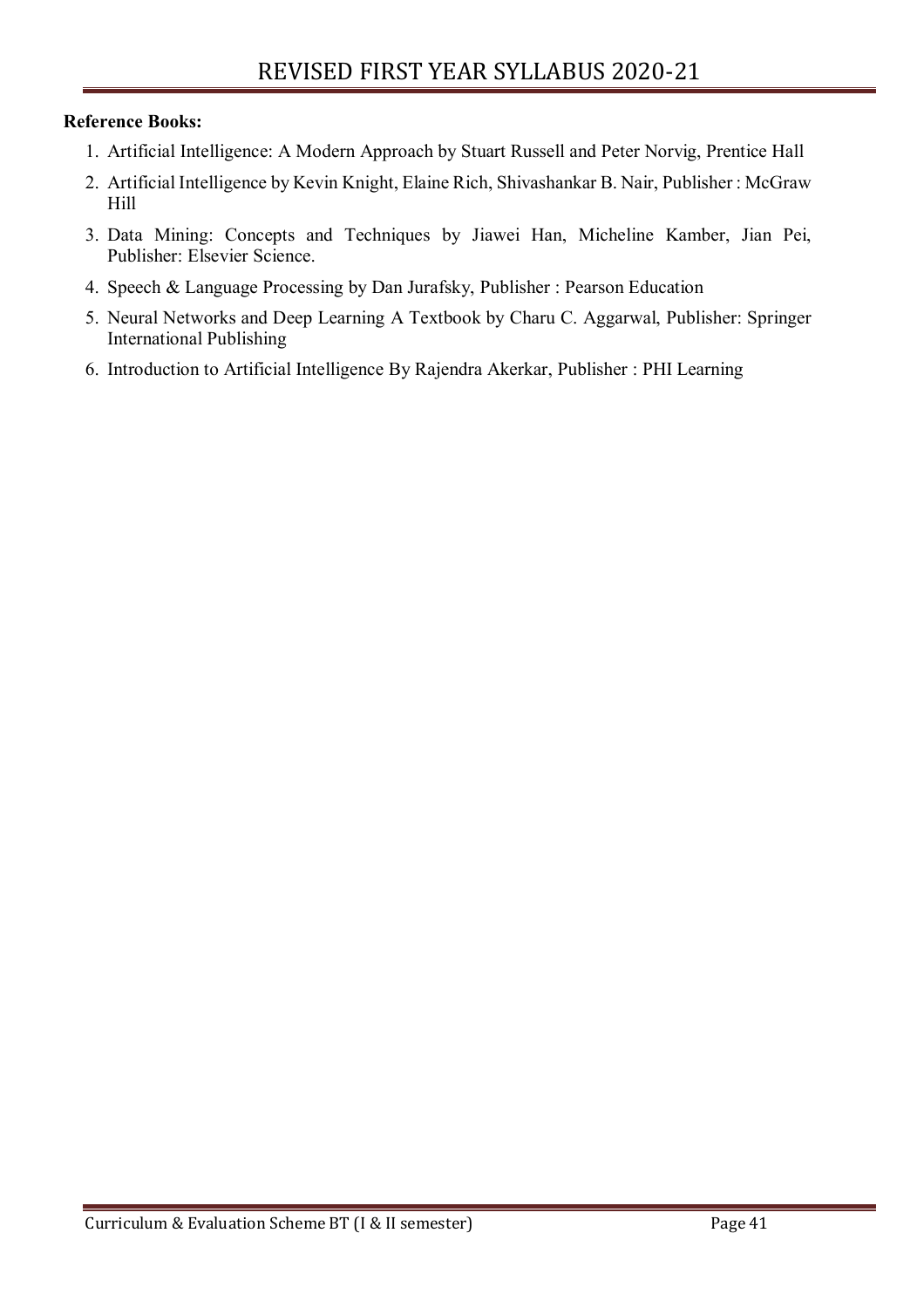#### **Reference Books:**

- 1. Artificial Intelligence: A Modern Approach by Stuart Russell and Peter Norvig, Prentice Hall
- 2. Artificial Intelligence by Kevin Knight, Elaine Rich, Shivashankar B. Nair, Publisher : McGraw Hill
- 3. Data Mining: Concepts and Techniques by Jiawei Han, Micheline Kamber, Jian Pei, Publisher: Elsevier Science.
- 4. Speech & Language Processing by Dan Jurafsky, Publisher : Pearson Education
- 5. Neural Networks and Deep Learning A Textbook by Charu C. Aggarwal, Publisher: Springer International Publishing
- 6. Introduction to Artificial Intelligence By Rajendra Akerkar, Publisher : PHI Learning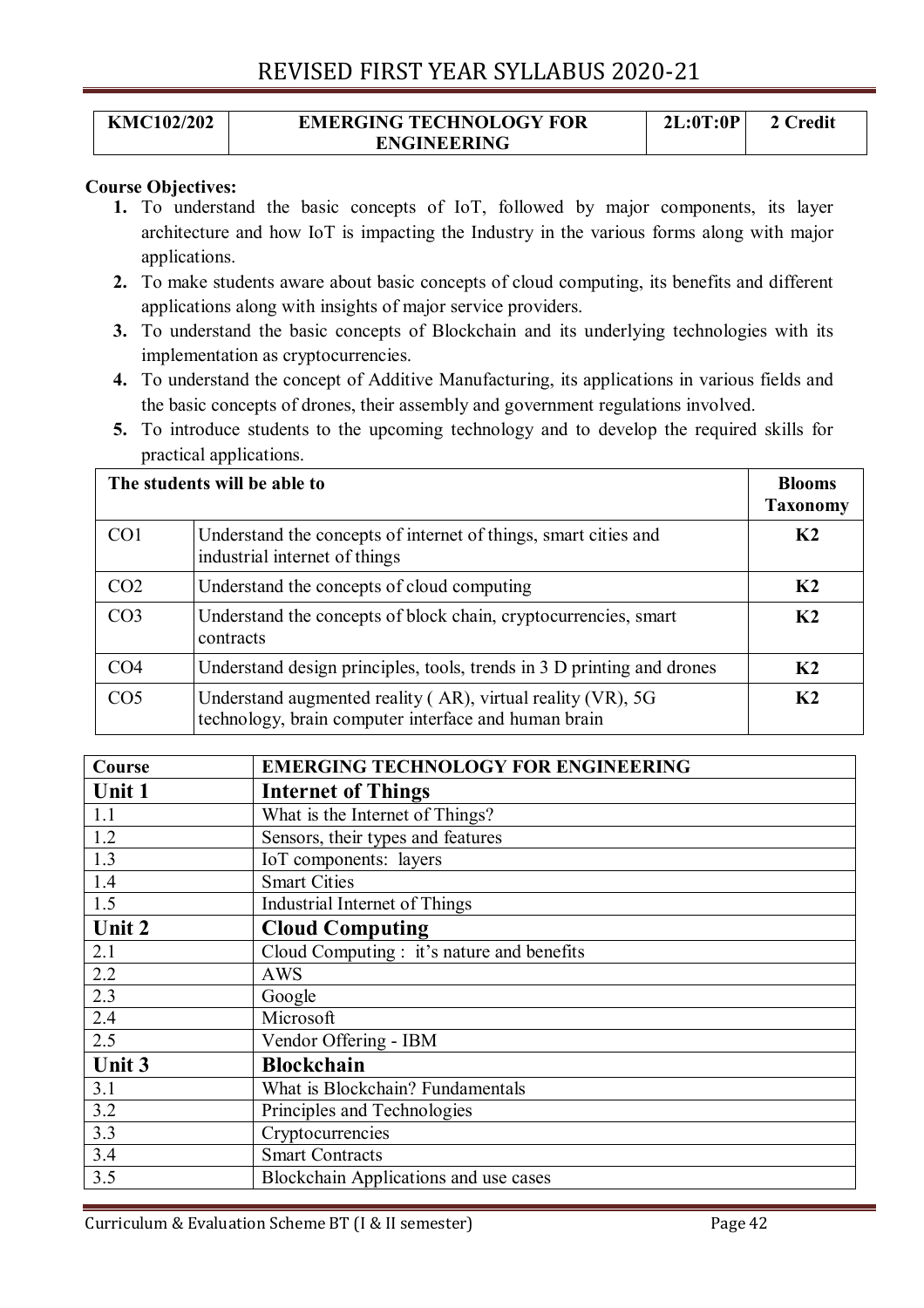#### **KMC102/202 EMERGING TECHNOLOGY FOR ENGINEERING 2L:0T:0P 2 Credit**

#### **Course Objectives:**

- **1.** To understand the basic concepts of IoT, followed by major components, its layer architecture and how IoT is impacting the Industry in the various forms along with major applications.
- **2.** To make students aware about basic concepts of cloud computing, its benefits and different applications along with insights of major service providers.
- **3.** To understand the basic concepts of Blockchain and its underlying technologies with its implementation as cryptocurrencies.
- **4.** To understand the concept of Additive Manufacturing, its applications in various fields and the basic concepts of drones, their assembly and government regulations involved.
- **5.** To introduce students to the upcoming technology and to develop the required skills for practical applications.

|                 | The students will be able to<br><b>Blooms</b><br><b>Taxonomy</b>                                                    |                |
|-----------------|---------------------------------------------------------------------------------------------------------------------|----------------|
| CO <sub>1</sub> | Understand the concepts of internet of things, smart cities and<br>industrial internet of things                    | K <sub>2</sub> |
| CO <sub>2</sub> | Understand the concepts of cloud computing                                                                          | K <sub>2</sub> |
| CO <sub>3</sub> | Understand the concepts of block chain, cryptocurrencies, smart<br>contracts                                        | K2             |
| CO <sub>4</sub> | Understand design principles, tools, trends in 3 D printing and drones                                              | K <sub>2</sub> |
| CO <sub>5</sub> | Understand augmented reality (AR), virtual reality (VR), 5G<br>technology, brain computer interface and human brain | K2             |

| Course | <b>EMERGING TECHNOLOGY FOR ENGINEERING</b> |
|--------|--------------------------------------------|
| Unit 1 | <b>Internet of Things</b>                  |
| 1.1    | What is the Internet of Things?            |
| 1.2    | Sensors, their types and features          |
| 1.3    | IoT components: layers                     |
| 1.4    | <b>Smart Cities</b>                        |
| 1.5    | Industrial Internet of Things              |
| Unit 2 | <b>Cloud Computing</b>                     |
| 2.1    | Cloud Computing : it's nature and benefits |
| 2.2    | <b>AWS</b>                                 |
| 2.3    | Google                                     |
| 2.4    | Microsoft                                  |
| 2.5    | Vendor Offering - IBM                      |
| Unit 3 | <b>Blockchain</b>                          |
| 3.1    | What is Blockchain? Fundamentals           |
| 3.2    | Principles and Technologies                |
| 3.3    | Cryptocurrencies                           |
| 3.4    | <b>Smart Contracts</b>                     |
| 3.5    | Blockchain Applications and use cases      |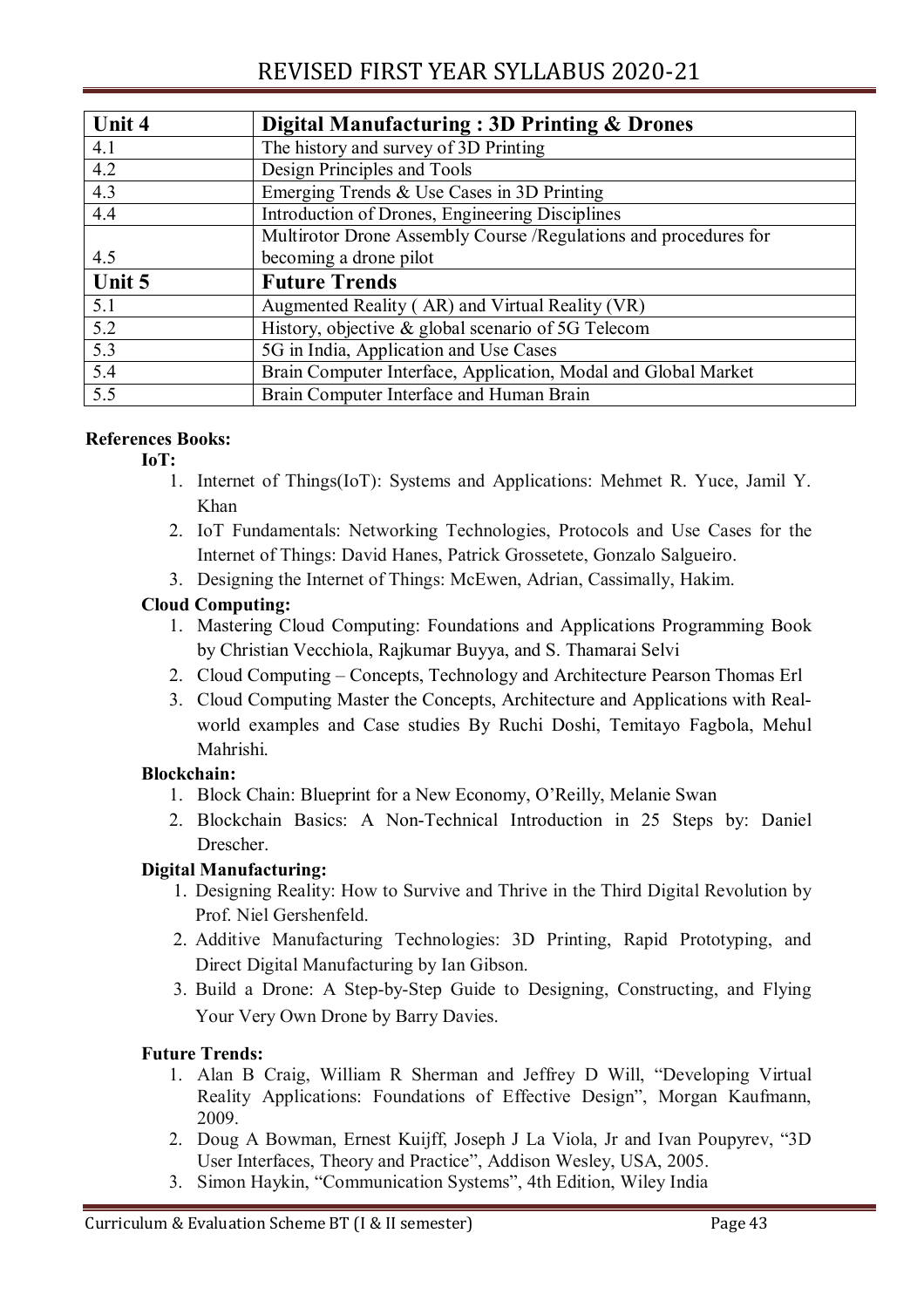| Unit 4           | Digital Manufacturing: 3D Printing & Drones                      |  |
|------------------|------------------------------------------------------------------|--|
| 4.1              | The history and survey of 3D Printing                            |  |
| 4.2              | Design Principles and Tools                                      |  |
| 4.3              | Emerging Trends & Use Cases in 3D Printing                       |  |
| 4.4              | Introduction of Drones, Engineering Disciplines                  |  |
|                  | Multirotor Drone Assembly Course /Regulations and procedures for |  |
| 4.5              | becoming a drone pilot                                           |  |
| Unit 5           | <b>Future Trends</b>                                             |  |
| 5.1              | Augmented Reality (AR) and Virtual Reality (VR)                  |  |
| 5.2              | History, objective & global scenario of 5G Telecom               |  |
| $\overline{5.3}$ | 5G in India, Application and Use Cases                           |  |
| 5.4              | Brain Computer Interface, Application, Modal and Global Market   |  |
| $\overline{5.5}$ | Brain Computer Interface and Human Brain                         |  |

#### **References Books:**

#### **IoT:**

- 1. Internet of Things(IoT): Systems and Applications: Mehmet R. Yuce, Jamil Y. Khan
- 2. IoT Fundamentals: Networking Technologies, Protocols and Use Cases for the Internet of Things: David Hanes, Patrick Grossetete, Gonzalo Salgueiro.
- 3. Designing the Internet of Things: McEwen, Adrian, Cassimally, Hakim.

#### **Cloud Computing:**

- 1. Mastering Cloud Computing: Foundations and Applications Programming Book by Christian Vecchiola, Rajkumar Buyya, and S. Thamarai Selvi
- 2. Cloud Computing Concepts, Technology and Architecture Pearson Thomas Erl
- 3. Cloud Computing Master the Concepts, Architecture and Applications with Realworld examples and Case studies By Ruchi Doshi, Temitayo Fagbola, Mehul Mahrishi.

#### **Blockchain:**

- 1. Block Chain: Blueprint for a New Economy, O'Reilly, Melanie Swan
- 2. Blockchain Basics: A Non-Technical Introduction in 25 Steps by: Daniel Drescher.

#### **Digital Manufacturing:**

- 1. Designing Reality: How to Survive and Thrive in the Third Digital Revolution by Prof. Niel Gershenfeld.
- 2. Additive Manufacturing Technologies: 3D Printing, Rapid Prototyping, and Direct Digital Manufacturing by Ian Gibson.
- 3. Build a Drone: A Step-by-Step Guide to Designing, Constructing, and Flying Your Very Own Drone by Barry Davies.

#### **Future Trends:**

- 1. Alan B Craig, William R Sherman and Jeffrey D Will, "Developing Virtual Reality Applications: Foundations of Effective Design", Morgan Kaufmann, 2009.
- 2. Doug A Bowman, Ernest Kuijff, Joseph J La Viola, Jr and Ivan Poupyrev, "3D User Interfaces, Theory and Practice", Addison Wesley, USA, 2005.
- 3. Simon Haykin, "Communication Systems", 4th Edition, Wiley India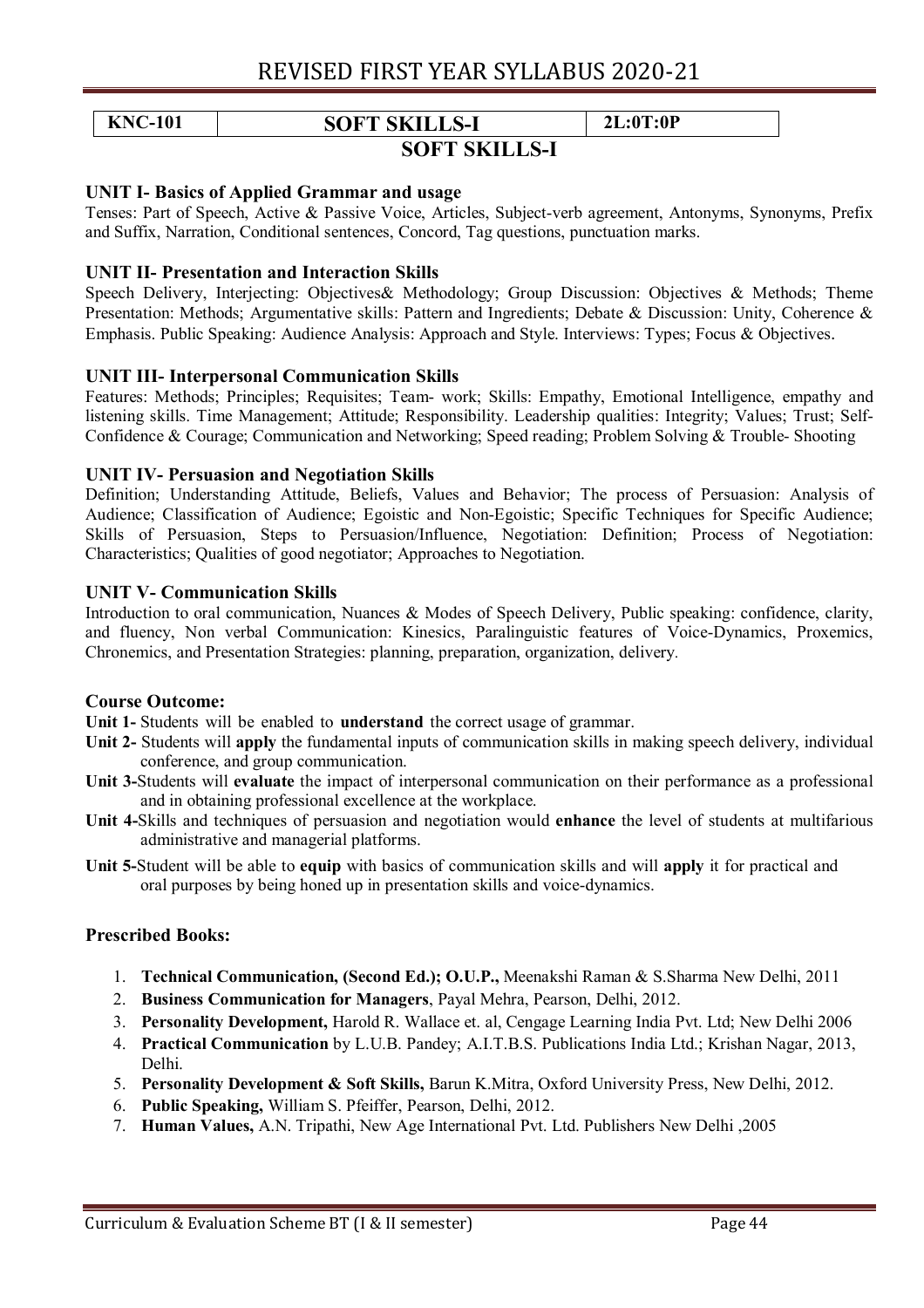### **KNC-101 SOFT SKILLS-I 2L:0T:0P**

#### **SOFT SKILLS-I**

#### **UNIT I- Basics of Applied Grammar and usage**

Tenses: Part of Speech, Active & Passive Voice, Articles, Subject-verb agreement, Antonyms, Synonyms, Prefix and Suffix, Narration, Conditional sentences, Concord, Tag questions, punctuation marks.

#### **UNIT II- Presentation and Interaction Skills**

Speech Delivery, Interjecting: Objectives& Methodology; Group Discussion: Objectives & Methods; Theme Presentation: Methods; Argumentative skills: Pattern and Ingredients; Debate & Discussion: Unity, Coherence & Emphasis. Public Speaking: Audience Analysis: Approach and Style. Interviews: Types; Focus & Objectives.

#### **UNIT III- Interpersonal Communication Skills**

Features: Methods; Principles; Requisites; Team- work; Skills: Empathy, Emotional Intelligence, empathy and listening skills. Time Management; Attitude; Responsibility. Leadership qualities: Integrity; Values; Trust; Self-Confidence & Courage; Communication and Networking; Speed reading; Problem Solving & Trouble- Shooting

#### **UNIT IV- Persuasion and Negotiation Skills**

Definition; Understanding Attitude, Beliefs, Values and Behavior; The process of Persuasion: Analysis of Audience; Classification of Audience; Egoistic and Non-Egoistic; Specific Techniques for Specific Audience; Skills of Persuasion, Steps to Persuasion/Influence, Negotiation: Definition; Process of Negotiation: Characteristics; Qualities of good negotiator; Approaches to Negotiation.

#### **UNIT V- Communication Skills**

Introduction to oral communication, Nuances & Modes of Speech Delivery, Public speaking: confidence, clarity, and fluency, Non verbal Communication: Kinesics, Paralinguistic features of Voice-Dynamics, Proxemics, Chronemics, and Presentation Strategies: planning, preparation, organization, delivery.

#### **Course Outcome:**

**Unit 1-** Students will be enabled to **understand** the correct usage of grammar.

- **Unit 2-** Students will **apply** the fundamental inputs of communication skills in making speech delivery, individual conference, and group communication.
- **Unit 3-**Students will **evaluate** the impact of interpersonal communication on their performance as a professional and in obtaining professional excellence at the workplace.
- **Unit 4-**Skills and techniques of persuasion and negotiation would **enhance** the level of students at multifarious administrative and managerial platforms.
- **Unit 5-**Student will be able to **equip** with basics of communication skills and will **apply** it for practical and oral purposes by being honed up in presentation skills and voice-dynamics.

#### **Prescribed Books:**

- 1. **Technical Communication, (Second Ed.); O.U.P.,** Meenakshi Raman & S.Sharma New Delhi, 2011
- 2. **Business Communication for Managers**, Payal Mehra, Pearson, Delhi, 2012.
- 3. **Personality Development,** Harold R. Wallace et. al, Cengage Learning India Pvt. Ltd; New Delhi 2006
- 4. **Practical Communication** by L.U.B. Pandey; A.I.T.B.S. Publications India Ltd.; Krishan Nagar, 2013, Delhi.
- 5. **Personality Development & Soft Skills,** Barun K.Mitra, Oxford University Press, New Delhi, 2012.
- 6. **Public Speaking,** William S. Pfeiffer, Pearson, Delhi, 2012.
- 7. **Human Values,** A.N. Tripathi, New Age International Pvt. Ltd. Publishers New Delhi ,2005